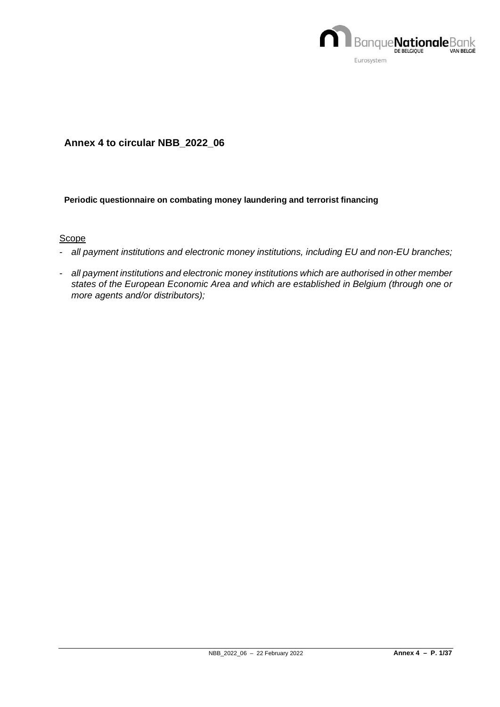

## **Annex 4 to circular NBB\_2022\_06**

### **Periodic questionnaire on combating money laundering and terrorist financing**

### **Scope**

- *all payment institutions and electronic money institutions, including EU and non-EU branches;*
- *all payment institutions and electronic money institutions which are authorised in other member states of the European Economic Area and which are established in Belgium (through one or more agents and/or distributors);*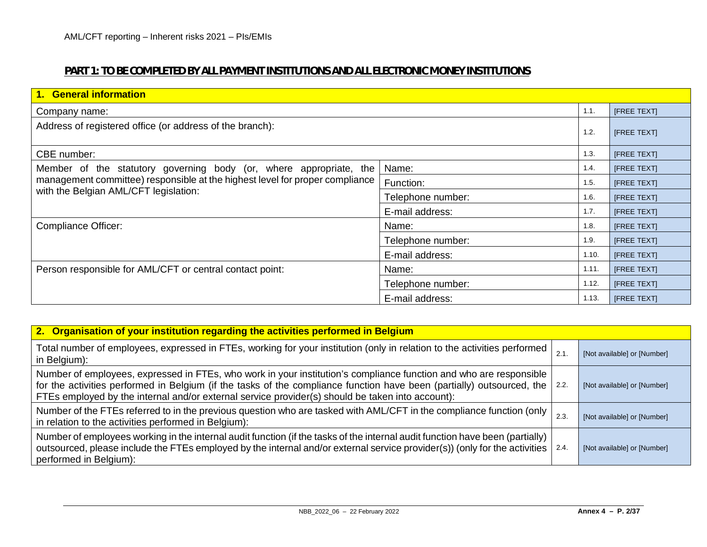# **PART 1: TO BE COMPLETED BY ALL PAYMENT INSTITUTIONS AND ALL ELECTRONIC MONEY INSTITUTIONS**

| 1. General information                                                       |                   |             |                    |  |  |  |  |
|------------------------------------------------------------------------------|-------------------|-------------|--------------------|--|--|--|--|
| Company name:                                                                | 1.1.              | [FREE TEXT] |                    |  |  |  |  |
| Address of registered office (or address of the branch):                     | 1.2.              | [FREE TEXT] |                    |  |  |  |  |
| CBE number:                                                                  |                   | 1.3.        | [FREE TEXT]        |  |  |  |  |
| Member of the statutory governing body (or, where appropriate, the           | Name:             | 1.4.        | [FREE TEXT]        |  |  |  |  |
| management committee) responsible at the highest level for proper compliance | Function:         | 1.5.        | [FREE TEXT]        |  |  |  |  |
| with the Belgian AML/CFT legislation:                                        | Telephone number: | 1.6.        | [FREE TEXT]        |  |  |  |  |
|                                                                              | E-mail address:   | 1.7.        | [FREE TEXT]        |  |  |  |  |
| <b>Compliance Officer:</b>                                                   | Name:             | 1.8.        | <b>IFREE TEXTI</b> |  |  |  |  |
|                                                                              | Telephone number: | 1.9.        | [FREE TEXT]        |  |  |  |  |
|                                                                              | E-mail address:   | 1.10.       | [FREE TEXT]        |  |  |  |  |
| Person responsible for AML/CFT or central contact point:                     | Name:             | 1.11.       | [FREE TEXT]        |  |  |  |  |
|                                                                              | Telephone number: | 1.12.       | [FREE TEXT]        |  |  |  |  |
|                                                                              | E-mail address:   | 1.13.       | <b>IFREE TEXTI</b> |  |  |  |  |

| 2. Organisation of your institution regarding the activities performed in Belgium                                                                                                                                                                                                                                                                |      |                             |
|--------------------------------------------------------------------------------------------------------------------------------------------------------------------------------------------------------------------------------------------------------------------------------------------------------------------------------------------------|------|-----------------------------|
| Total number of employees, expressed in FTEs, working for your institution (only in relation to the activities performed<br>in Belgium):                                                                                                                                                                                                         | 2.1. | [Not available] or [Number] |
| Number of employees, expressed in FTEs, who work in your institution's compliance function and who are responsible<br>for the activities performed in Belgium (if the tasks of the compliance function have been (partially) outsourced, the<br>FTEs employed by the internal and/or external service provider(s) should be taken into account): | 2.2. | [Not available] or [Number] |
| Number of the FTEs referred to in the previous question who are tasked with AML/CFT in the compliance function (only<br>in relation to the activities performed in Belgium):                                                                                                                                                                     | 2.3. | [Not available] or [Number] |
| Number of employees working in the internal audit function (if the tasks of the internal audit function have been (partially)<br>outsourced, please include the FTEs employed by the internal and/or external service provider(s)) (only for the activities<br>performed in Belgium):                                                            | 2.4. | [Not available] or [Number] |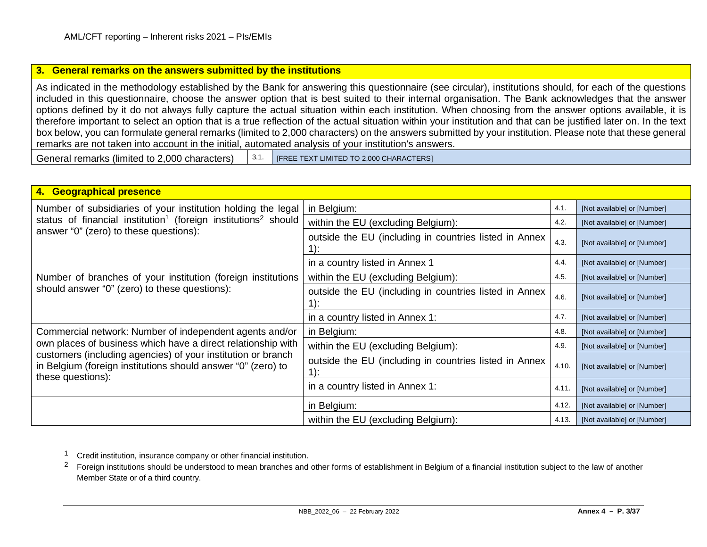### <span id="page-2-1"></span><span id="page-2-0"></span>**3. General remarks on the answers submitted by the institutions**

As indicated in the methodology established by the Bank for answering this questionnaire (see circular), institutions should, for each of the questions included in this questionnaire, choose the answer option that is best suited to their internal organisation. The Bank acknowledges that the answer options defined by it do not always fully capture the actual situation within each institution. When choosing from the answer options available, it is therefore important to select an option that is a true reflection of the actual situation within your institution and that can be justified later on. In the text box below, you can formulate general remarks (limited to 2,000 characters) on the answers submitted by your institution. Please note that these general remarks are not taken into account in the initial, automated analysis of your institution's answers.

General remarks (limited to 2,000 characters)  $\begin{bmatrix} 3.1. \end{bmatrix}$  [FREE TEXT LIMITED TO 2,000 CHARACTERS]

| 4. Geographical presence                                                                                                                          |                                                        |       |                             |  |  |  |  |
|---------------------------------------------------------------------------------------------------------------------------------------------------|--------------------------------------------------------|-------|-----------------------------|--|--|--|--|
| Number of subsidiaries of your institution holding the legal                                                                                      | in Belgium:                                            | 4.1.  | [Not available] or [Number] |  |  |  |  |
| status of financial institution <sup>1</sup> (foreign institutions <sup>2</sup> should                                                            | within the EU (excluding Belgium):                     | 4.2.  | [Not available] or [Number] |  |  |  |  |
| answer "0" (zero) to these questions):                                                                                                            | outside the EU (including in countries listed in Annex | 4.3.  | [Not available] or [Number] |  |  |  |  |
|                                                                                                                                                   | in a country listed in Annex 1                         | 4.4.  | [Not available] or [Number] |  |  |  |  |
| Number of branches of your institution (foreign institutions                                                                                      | within the EU (excluding Belgium):                     | 4.5.  | [Not available] or [Number] |  |  |  |  |
| should answer "0" (zero) to these questions):                                                                                                     | outside the EU (including in countries listed in Annex | 4.6.  | [Not available] or [Number] |  |  |  |  |
|                                                                                                                                                   | in a country listed in Annex 1:                        | 4.7.  | [Not available] or [Number] |  |  |  |  |
| Commercial network: Number of independent agents and/or                                                                                           | in Belgium:                                            |       | [Not available] or [Number] |  |  |  |  |
| own places of business which have a direct relationship with                                                                                      | within the EU (excluding Belgium):                     | 4.9.  | [Not available] or [Number] |  |  |  |  |
| customers (including agencies) of your institution or branch<br>in Belgium (foreign institutions should answer "0" (zero) to<br>these questions): | outside the EU (including in countries listed in Annex | 4.10. | [Not available] or [Number] |  |  |  |  |
|                                                                                                                                                   | in a country listed in Annex 1:                        | 4.11  | [Not available] or [Number] |  |  |  |  |
|                                                                                                                                                   | in Belgium:                                            | 4.12. | [Not available] or [Number] |  |  |  |  |
|                                                                                                                                                   | within the EU (excluding Belgium):                     | 4.13. | [Not available] or [Number] |  |  |  |  |

1 Credit institution, insurance company or other financial institution.

<sup>2</sup> Foreign institutions should be understood to mean branches and other forms of establishment in Belgium of a financial institution subject to the law of another Member State or of a third country.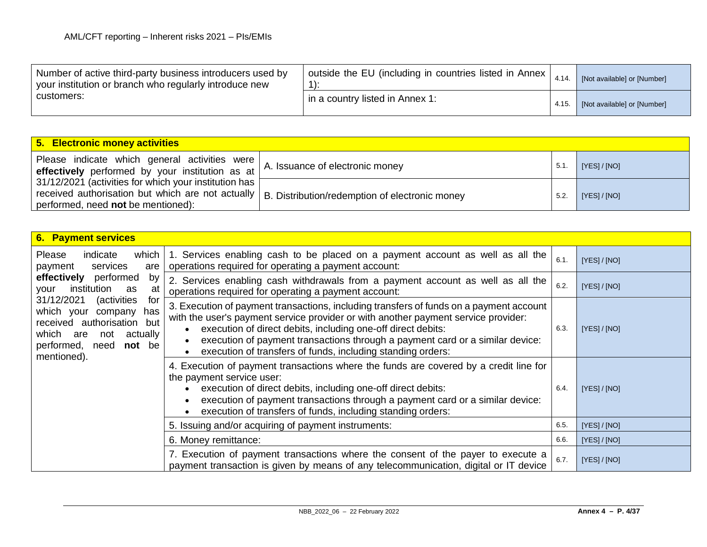| Number of active third-party business introducers used by<br>your institution or branch who regularly introduce new | outside the EU (including in countries listed in Annex  <br>4.14. |       | [Not available] or [Number] |
|---------------------------------------------------------------------------------------------------------------------|-------------------------------------------------------------------|-------|-----------------------------|
| customers:                                                                                                          | in a country listed in Annex 1:                                   | 4.15. | [Not available] or [Number] |

| 5. Electronic money activities                                                                                                                                                                      |                                 |      |              |
|-----------------------------------------------------------------------------------------------------------------------------------------------------------------------------------------------------|---------------------------------|------|--------------|
| Please indicate which general activities were<br>effectively performed by your institution as at                                                                                                    | A. Issuance of electronic money | 5.1  | [YES] / [NO] |
| 31/12/2021 (activities for which your institution has [<br>received authorisation but which are not actually   B. Distribution/redemption of electronic money<br>performed, need not be mentioned): |                                 | 5.2. | [YES] / [NO] |

| <b>6. Payment services</b>                                                                                                                                                    |                                                                                                                                                                                                                                                                                                                                                                                                       |      |              |
|-------------------------------------------------------------------------------------------------------------------------------------------------------------------------------|-------------------------------------------------------------------------------------------------------------------------------------------------------------------------------------------------------------------------------------------------------------------------------------------------------------------------------------------------------------------------------------------------------|------|--------------|
| <b>Please</b><br>indicate<br>which<br>services<br>payment<br>are                                                                                                              | 1. Services enabling cash to be placed on a payment account as well as all the<br>operations required for operating a payment account:                                                                                                                                                                                                                                                                | 6.1. | [YES]/[NO]   |
| effectively performed<br>by<br>institution<br>your<br>at<br>as                                                                                                                | 2. Services enabling cash withdrawals from a payment account as well as all the<br>operations required for operating a payment account:                                                                                                                                                                                                                                                               | 6.2. | [YES]/[NO]   |
| 31/12/2021<br>(activities<br>for<br>which your<br>company<br>has<br>received authorisation but<br>which are<br>actually<br>not<br>performed,<br>not be<br>need<br>mentioned). | 3. Execution of payment transactions, including transfers of funds on a payment account<br>with the user's payment service provider or with another payment service provider:<br>execution of direct debits, including one-off direct debits:<br>6.3.<br>execution of payment transactions through a payment card or a similar device:<br>execution of transfers of funds, including standing orders: |      | [YES]/[NO]   |
|                                                                                                                                                                               | 4. Execution of payment transactions where the funds are covered by a credit line for<br>the payment service user:<br>execution of direct debits, including one-off direct debits:<br>execution of payment transactions through a payment card or a similar device:<br>execution of transfers of funds, including standing orders:                                                                    | 6.4. | [YES]/[NO]   |
|                                                                                                                                                                               | 5. Issuing and/or acquiring of payment instruments:                                                                                                                                                                                                                                                                                                                                                   | 6.5. | [YES] / [NO] |
|                                                                                                                                                                               | 6. Money remittance:                                                                                                                                                                                                                                                                                                                                                                                  | 6.6. | [YES]/[NO]   |
|                                                                                                                                                                               | 7. Execution of payment transactions where the consent of the payer to execute a<br>payment transaction is given by means of any telecommunication, digital or IT device                                                                                                                                                                                                                              | 6.7. | [YES]/[NO]   |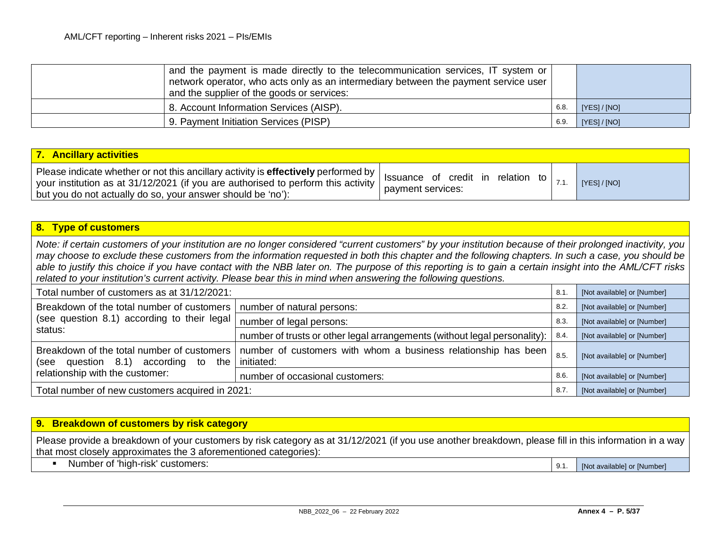| and the supplier of the goods or services: | and the payment is made directly to the telecommunication services, IT system or<br>network operator, who acts only as an intermediary between the payment service user |      |              |
|--------------------------------------------|-------------------------------------------------------------------------------------------------------------------------------------------------------------------------|------|--------------|
| 8. Account Information Services (AISP).    |                                                                                                                                                                         | 6.8. | [YES] / [NO] |
| 9. Payment Initiation Services (PISP)      |                                                                                                                                                                         | 6.9  | [YES] / [NO] |

| 7. Ancillary activities                                                                                                                                                                                                                                                                                                       |                   |              |
|-------------------------------------------------------------------------------------------------------------------------------------------------------------------------------------------------------------------------------------------------------------------------------------------------------------------------------|-------------------|--------------|
| Please indicate whether or not this ancillary activity is <b>effectively</b> performed by   Issuance of credit in relation to $\begin{bmatrix} 7.1 \end{bmatrix}$<br>vour institution as at 31/12/2021 (if you are authorised to perform this activity $\vert$<br>but you do not actually do so, your answer should be 'no'): | payment services: | [YES] / [NO] |

### **8. Type of customers**

*Note: if certain customers of your institution are no longer considered "current customers" by your institution because of their prolonged inactivity, you may choose to exclude these customers from the information requested in both this chapter and the following chapters. In such a case, you should be able to justify this choice if you have contact with the NBB later on. The purpose of this reporting is to gain a certain insight into the AML/CFT risks related to your institution's current activity. Please bear this in mind when answering the following questions.*

| Total number of customers as at 31/12/2021:                                                     | 8.1.                                                                             | [Not available] or [Number] |                             |
|-------------------------------------------------------------------------------------------------|----------------------------------------------------------------------------------|-----------------------------|-----------------------------|
| Breakdown of the total number of customers                                                      | number of natural persons:                                                       | 8.2.                        | [Not available] or [Number] |
| (see question 8.1) according to their legal                                                     | number of legal persons:                                                         | 8.3.                        | [Not available] or [Number] |
| status:                                                                                         | number of trusts or other legal arrangements (without legal personality):   8.4. |                             | [Not available] or [Number] |
| Breakdown of the total number of customers I<br>question 8.1)<br>according<br>the<br>to<br>(see | number of customers with whom a business relationship has been<br>initiated:     | 8.5                         | [Not available] or [Number] |
| relationship with the customer:                                                                 | number of occasional customers:                                                  | 8.6                         | [Not available] or [Number] |
| Total number of new customers acquired in 2021:                                                 | 8.7                                                                              | [Not available] or [Number] |                             |

### **9. Breakdown of customers by risk category**

Please provide a breakdown of your customers by risk category as at 31/12/2021 (if you use another breakdown, please fill in this information in a way that most closely approximates the 3 aforementioned categories):

• Number of 'high-risk' customers: 9.1. [Not available] or [Number]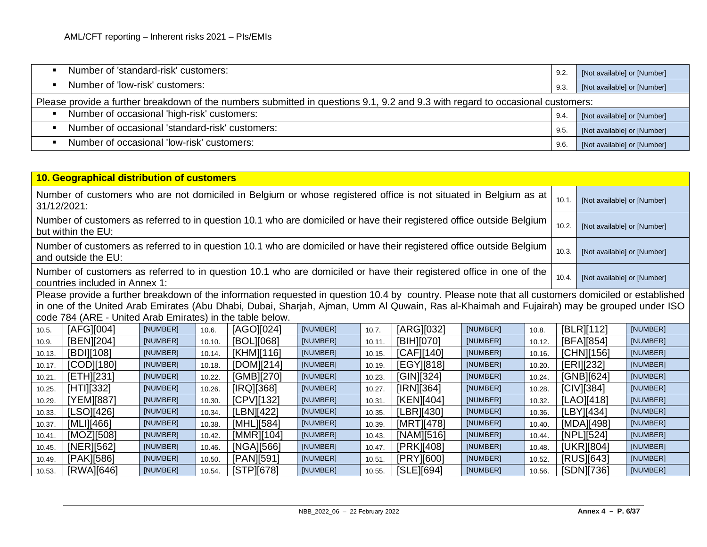| Number of 'standard-risk' customers:                                                                                           | 9.2. | [Not available] or [Number] |  |  |  |  |  |
|--------------------------------------------------------------------------------------------------------------------------------|------|-----------------------------|--|--|--|--|--|
| Number of 'low-risk' customers:                                                                                                | 9.3. | [Not available] or [Number] |  |  |  |  |  |
| Please provide a further breakdown of the numbers submitted in questions 9.1, 9.2 and 9.3 with regard to occasional customers: |      |                             |  |  |  |  |  |
| Number of occasional 'high-risk' customers:                                                                                    | 9.4  | [Not available] or [Number] |  |  |  |  |  |
| Number of occasional 'standard-risk' customers:                                                                                | 9.5. | [Not available] or [Number] |  |  |  |  |  |
| Number of occasional 'low-risk' customers:                                                                                     | 9.6. | [Not available] or [Number] |  |  |  |  |  |

| 10. Geographical distribution of customers                                                                                                                                                    |                                                           |          |        |                                                                                                                                                      |          |        |            |          |        |       |                             |          |
|-----------------------------------------------------------------------------------------------------------------------------------------------------------------------------------------------|-----------------------------------------------------------|----------|--------|------------------------------------------------------------------------------------------------------------------------------------------------------|----------|--------|------------|----------|--------|-------|-----------------------------|----------|
| Number of customers who are not domiciled in Belgium or whose registered office is not situated in Belgium as at<br>31/12/2021:                                                               |                                                           |          |        |                                                                                                                                                      |          |        |            |          |        | 10.1. | [Not available] or [Number] |          |
| Number of customers as referred to in question 10.1 who are domiciled or have their registered office outside Belgium<br>but within the EU:                                                   |                                                           |          |        |                                                                                                                                                      |          |        |            |          |        | 10.2. | [Not available] or [Number] |          |
| Number of customers as referred to in question 10.1 who are domiciled or have their registered office outside Belgium<br>and outside the EU:                                                  |                                                           |          |        |                                                                                                                                                      |          |        |            |          |        | 10.3. | [Not available] or [Number] |          |
| Number of customers as referred to in question 10.1 who are domiciled or have their registered office in one of the<br>10.4.<br>[Not available] or [Number]<br>countries included in Annex 1: |                                                           |          |        |                                                                                                                                                      |          |        |            |          |        |       |                             |          |
|                                                                                                                                                                                               |                                                           |          |        | Please provide a further breakdown of the information requested in question 10.4 by country. Please note that all customers domiciled or established |          |        |            |          |        |       |                             |          |
|                                                                                                                                                                                               |                                                           |          |        | in one of the United Arab Emirates (Abu Dhabi, Dubai, Sharjah, Ajman, Umm AI Quwain, Ras al-Khaimah and Fujairah) may be grouped under ISO           |          |        |            |          |        |       |                             |          |
|                                                                                                                                                                                               | code 784 (ARE - United Arab Emirates) in the table below. |          |        |                                                                                                                                                      |          |        |            |          |        |       |                             |          |
| 10.5.                                                                                                                                                                                         | [AFG][004]                                                | [NUMBER] | 10.6.  | [AGO][024]                                                                                                                                           | [NUMBER] | 10.7.  | [ARG][032] | [NUMBER] | 10.8.  |       | [BLR][112]                  | [NUMBER] |
| 10.9.                                                                                                                                                                                         | [BEN][204]                                                | [NUMBER] | 10.10. | [BOL][068]                                                                                                                                           | [NUMBER] | 10.11. | [BIH][070] | [NUMBER] | 10.12. |       | [BFA][854]                  | [NUMBER] |
| 10.13.                                                                                                                                                                                        | [BDI][108]                                                | [NUMBER] | 10.14. | [KHM][116]                                                                                                                                           | [NUMBER] | 10.15. | [CAF][140] | [NUMBER] | 10.16. |       | [CHN][156]                  | [NUMBER] |
| 10.17.                                                                                                                                                                                        | [COD][180]                                                | [NUMBER] | 10.18. | [DOM][214]                                                                                                                                           | [NUMBER] | 10.19. | [EGY][818] | [NUMBER] | 10.20. |       | [ERI][232]                  | [NUMBER] |
| 10.21.                                                                                                                                                                                        | [ETH][231]                                                | [NUMBER] | 10.22. | [GMB][270]                                                                                                                                           | [NUMBER] | 10.23. | [GIN][324] | [NUMBER] | 10.24. |       | [GNB][624]                  | [NUMBER] |
| 10.25.                                                                                                                                                                                        | [HTI][332]                                                | [NUMBER] | 10.26. | [IRQ][368]                                                                                                                                           | [NUMBER] | 10.27. | [IRN][364] | [NUMBER] | 10.28. |       | [CIV][384]                  | [NUMBER] |
| 10.29.                                                                                                                                                                                        | [YEM][887]                                                | [NUMBER] | 10.30. | [CPV][132]                                                                                                                                           | [NUMBER] | 10.31. | [KEN][404] | [NUMBER] | 10.32. |       | [LAO][418]                  | [NUMBER] |
| 10.33.                                                                                                                                                                                        | [LSO][426]                                                | [NUMBER] | 10.34. | [LBN][422]                                                                                                                                           | [NUMBER] | 10.35. | [LBR][430] | [NUMBER] | 10.36. |       | [LBY][434]                  | [NUMBER] |
| 10.37.                                                                                                                                                                                        | [MLI][466]                                                | [NUMBER] | 10.38. | [MHL][584]                                                                                                                                           | [NUMBER] | 10.39. | [MRT][478] | [NUMBER] | 10.40. |       | [MDA][498]                  | [NUMBER] |
| 10.41.                                                                                                                                                                                        | [MOZ][508]                                                | [NUMBER] | 10.42. | [MMR][104]                                                                                                                                           | [NUMBER] | 10.43. | [NAM][516] | [NUMBER] | 10.44. |       | [NPL][524]                  | [NUMBER] |
| 10.45.                                                                                                                                                                                        | [NER][562]                                                | [NUMBER] | 10.46. | [NGA][566]                                                                                                                                           | [NUMBER] | 10.47. | [PRK][408] | [NUMBER] | 10.48. |       | [UKR][804]                  | [NUMBER] |
| 10.49.                                                                                                                                                                                        | [PAK][586]                                                | [NUMBER] | 10.50. | [PAN][591]                                                                                                                                           | [NUMBER] | 10.51. | [PRY][600] | [NUMBER] | 10.52. |       | [RUS][643]                  | [NUMBER] |
| 10.53.                                                                                                                                                                                        | [RWA][646]                                                | [NUMBER] | 10.54. | [STP][678]                                                                                                                                           | [NUMBER] | 10.55. | [SLE][694] | [NUMBER] | 10.56. |       | [SDN][736]                  | [NUMBER] |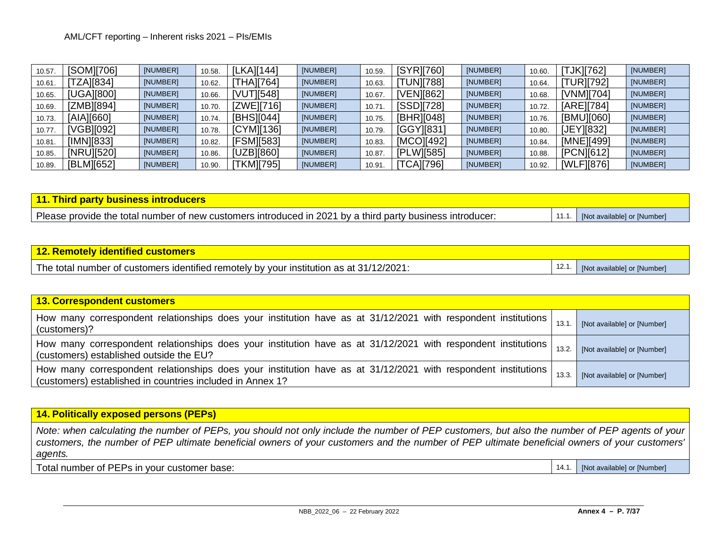| 10.57. | [SOM][706] | [NUMBER] | 10.58. | <b>LKAI[144]</b> | [NUMBER] | 10.59  | <b>ISYR17601</b> | [NUMBER] | 10.60. | <b>TJK][762]</b> | [NUMBER] |
|--------|------------|----------|--------|------------------|----------|--------|------------------|----------|--------|------------------|----------|
| 10.61. | [ZA][834]  | [NUMBER] | 10.62. | [THA][764]       | [NUMBER] | 10.63  | <b>TUN][788]</b> | [NUMBER] | 10.64. | [TUR][792]       | [NUMBER] |
| 10.65. | [UGA][800] | [NUMBER] | 10.66. | [VUT][548]       | [NUMBER] | 10.67  | [VEN][862]       | [NUMBER] | 10.68. | [VNM][704]       | [NUMBER] |
| 10.69. | [ZMB][894] | [NUMBER] | 10.70. | [ZWE][716]       | [NUMBER] | 10.71  | [SSD][728]       | [NUMBER] | 10.72. | [ARE][784]       | [NUMBER] |
| 10.73. | [AIA][660] | [NUMBER] | 10.74. | [BHS][044]       | [NUMBER] | 10.75. | [BHR][048]       | [NUMBER] | 10.76. | [BMU][060]       | [NUMBER] |
| 10.77  | /GB][092]  | [NUMBER] | 10.78. | [CYM][136]       | [NUMBER] | 10.79. | [GGY][831]       | [NUMBER] | 10.80. | [JEY][832]       | [NUMBER] |
| 10.81. | [IMN][833] | [NUMBER] | 10.82. | [FSM][583]       | [NUMBER] | 10.83. | [MCO][492]       | [NUMBER] | 10.84. | [MNE][499]       | [NUMBER] |
| 10.85. | [NRU][520] | [NUMBER] | 10.86. | [UZB][860]       | [NUMBER] | 10.87  | [PLW][585]       | [NUMBER] | 10.88. | [PCN][612]       | [NUMBER] |
| 10.89. | [BLM][652] | [NUMBER] | 10.90. | [TKM][795]       | [NUMBER] | 10.91  | <b>TCAI[796]</b> | [NUMBER] | 10.92. | [WLF][876]       | [NUMBER] |

| 11. Third party business introducers                                                                      |                                   |
|-----------------------------------------------------------------------------------------------------------|-----------------------------------|
| Please provide the total number of new customers introduced in 2021 by a third party business introducer: | 11.1. [Not available] or [Number] |

### **12. Remotely identified customers**

The total number of customers identified remotely by your institution as at  $31/12/2021$ :  $\vert$  12.1.  $\vert$  [Not available] or [Number]

| <b>13. Correspondent customers</b>                                                                                                                                         |       |                             |
|----------------------------------------------------------------------------------------------------------------------------------------------------------------------------|-------|-----------------------------|
| How many correspondent relationships does your institution have as at 31/12/2021 with respondent institutions<br>(customers)?                                              | 13.1  | [Not available] or [Number] |
| How many correspondent relationships does your institution have as at 31/12/2021 with respondent institutions<br>(customers) established outside the EU?                   | 13.2. | [Not available] or [Number] |
| How many correspondent relationships does your institution have as at 31/12/2021 with respondent institutions<br>(customers) established in countries included in Annex 1? | 13.3. | [Not available] or [Number] |

**14. Politically exposed persons (PEPs)**

*Note: when calculating the number of PEPs, you should not only include the number of PEP customers, but also the number of PEP agents of your customers, the number of PEP ultimate beneficial owners of your customers and the number of PEP ultimate beneficial owners of your customers' agents.*

Total number of PEPs in your customer base: 14.1. [Not available] or [Number]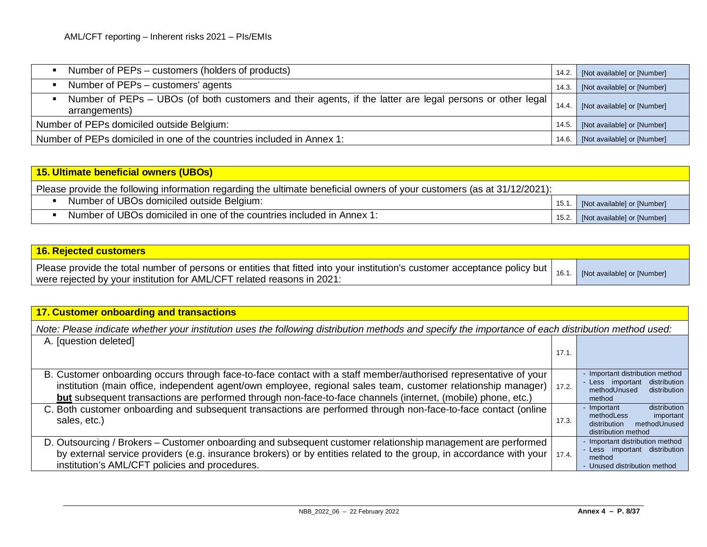| Number of PEPs – customers (holders of products)                                                                           | 14.2. | [Not available] or [Number] |
|----------------------------------------------------------------------------------------------------------------------------|-------|-----------------------------|
| Number of PEPs – customers' agents                                                                                         | 14.3. | [Not available] or [Number] |
| Number of PEPs – UBOs (of both customers and their agents, if the latter are legal persons or other legal<br>arrangements) | 14.4. | [Not available] or [Number] |
| Number of PEPs domiciled outside Belgium:                                                                                  | 14.5. | [Not available] or [Number] |
| Number of PEPs domiciled in one of the countries included in Annex 1:                                                      | 14.6. | [Not available] or [Number] |

# **15. Ultimate beneficial owners (UBOs)** Please provide the following information regarding the ultimate beneficial owners of your customers (as at 31/12/2021): Number of UBOs domiciled outside Belgium: 15.1. [Not available] or [Number] • Number of UBOs domiciled in one of the countries included in Annex 1: 15.2. [Not available] or [Number]

| <b>16. Rejected customers</b>                                                                                                                                                                                     |                             |
|-------------------------------------------------------------------------------------------------------------------------------------------------------------------------------------------------------------------|-----------------------------|
| Please provide the total number of persons or entities that fitted into your institution's customer acceptance policy but $\vert$ 16.1.<br>were rejected by your institution for AML/CFT related reasons in 2021: | [Not available] or [Number] |

| 17. Customer onboarding and transactions                                                                                                                                                                                                                                                                                                          |       |                                                                                                               |
|---------------------------------------------------------------------------------------------------------------------------------------------------------------------------------------------------------------------------------------------------------------------------------------------------------------------------------------------------|-------|---------------------------------------------------------------------------------------------------------------|
| Note: Please indicate whether your institution uses the following distribution methods and specify the importance of each distribution method used:                                                                                                                                                                                               |       |                                                                                                               |
| A. [question deleted]                                                                                                                                                                                                                                                                                                                             |       |                                                                                                               |
|                                                                                                                                                                                                                                                                                                                                                   | 17.1  |                                                                                                               |
| B. Customer onboarding occurs through face-to-face contact with a staff member/authorised representative of your<br>institution (main office, independent agent/own employee, regional sales team, customer relationship manager)<br>but subsequent transactions are performed through non-face-to-face channels (internet, (mobile) phone, etc.) | 17.2. | - Important distribution method<br>- Less important<br>distribution<br>methodUnused<br>distribution<br>method |
| C. Both customer onboarding and subsequent transactions are performed through non-face-to-face contact (online<br>sales, etc.)                                                                                                                                                                                                                    | 17.3. | distribution<br>- Important<br>methodLess<br>important<br>methodUnused<br>distribution<br>distribution method |
| D. Outsourcing / Brokers – Customer onboarding and subsequent customer relationship management are performed<br>by external service providers (e.g. insurance brokers) or by entities related to the group, in accordance with your<br>institution's AML/CFT policies and procedures.                                                             | 17.4. | - Important distribution method<br>- Less important distribution<br>method<br>- Unused distribution method    |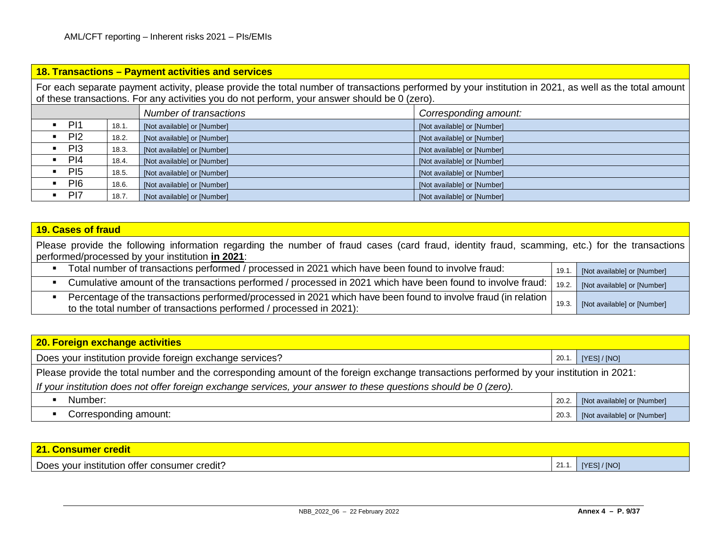|                                                                                                                                                                                                                                                         |       | 18. Transactions - Payment activities and services |                             |  |  |  |
|---------------------------------------------------------------------------------------------------------------------------------------------------------------------------------------------------------------------------------------------------------|-------|----------------------------------------------------|-----------------------------|--|--|--|
| For each separate payment activity, please provide the total number of transactions performed by your institution in 2021, as well as the total amount<br>of these transactions. For any activities you do not perform, your answer should be 0 (zero). |       |                                                    |                             |  |  |  |
|                                                                                                                                                                                                                                                         |       | Number of transactions                             | Corresponding amount:       |  |  |  |
| PI1<br>$\blacksquare$                                                                                                                                                                                                                                   | 18.1. | [Not available] or [Number]                        | [Not available] or [Number] |  |  |  |
| PI2                                                                                                                                                                                                                                                     | 18.2. | [Not available] or [Number]                        | [Not available] or [Number] |  |  |  |
| PI3                                                                                                                                                                                                                                                     | 18.3. | [Not available] or [Number]                        | [Not available] or [Number] |  |  |  |
| PI4                                                                                                                                                                                                                                                     | 18.4. | [Not available] or [Number]                        | [Not available] or [Number] |  |  |  |
| P <sub>15</sub>                                                                                                                                                                                                                                         | 18.5. | [Not available] or [Number]                        | [Not available] or [Number] |  |  |  |
| P <sub>16</sub>                                                                                                                                                                                                                                         | 18.6. | [Not available] or [Number]                        | [Not available] or [Number] |  |  |  |
| P <sub>17</sub>                                                                                                                                                                                                                                         | 18.7. | [Not available] or [Number]                        | [Not available] or [Number] |  |  |  |

| <b>19. Cases of fraud</b>                                                                                                                                                                          |      |                                   |
|----------------------------------------------------------------------------------------------------------------------------------------------------------------------------------------------------|------|-----------------------------------|
| Please provide the following information regarding the number of fraud cases (card fraud, identity fraud, scamming, etc.) for the transactions<br>performed/processed by your institution in 2021: |      |                                   |
| Total number of transactions performed / processed in 2021 which have been found to involve fraud:<br>$\blacksquare$                                                                               |      | 19.1. [Not available] or [Number] |
| Cumulative amount of the transactions performed / processed in 2021 which have been found to involve fraud:<br>$\blacksquare$                                                                      |      | 19.2. [Not available] or [Number] |
| Percentage of the transactions performed/processed in 2021 which have been found to involve fraud (in relation  <br>to the total number of transactions performed / processed in 2021):            | 19.3 | [Not available] or [Number]       |

| <b>20. Foreign exchange activities</b>                                                                                                   |       |                             |  |
|------------------------------------------------------------------------------------------------------------------------------------------|-------|-----------------------------|--|
| Does your institution provide foreign exchange services?                                                                                 | 20.1. | [YES]/[NO]                  |  |
| Please provide the total number and the corresponding amount of the foreign exchange transactions performed by your institution in 2021: |       |                             |  |
| If your institution does not offer foreign exchange services, your answer to these questions should be $0$ (zero).                       |       |                             |  |
| Number:                                                                                                                                  | 20.2. | [Not available] or [Number] |  |
| Corresponding amount:                                                                                                                    | 20.3. | [Not available] or [Number] |  |

| $\overline{24}$<br>' credit l<br><b>21. Consumer</b> |              |                   |
|------------------------------------------------------|--------------|-------------------|
| Does your institution offer consumer credit?         | <b>41.1.</b> | <b>IYESI/INOI</b> |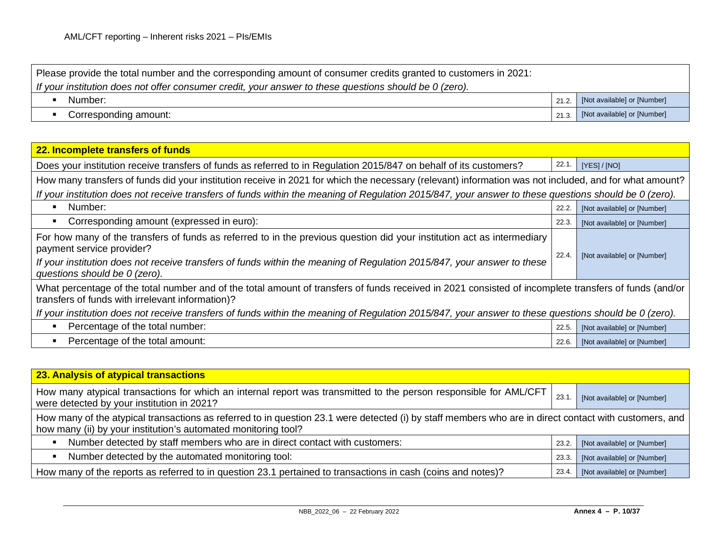| Please provide the total number and the corresponding amount of consumer credits granted to customers in 2021: |       |                             |
|----------------------------------------------------------------------------------------------------------------|-------|-----------------------------|
| If your institution does not offer consumer credit, your answer to these questions should be 0 (zero).         |       |                             |
| Number:                                                                                                        | 21.2. | [Not available] or [Number] |
| Corresponding amount:                                                                                          | 21.3. | [Not available] or [Number] |

| 22. Incomplete transfers of funds                                                                                                                                                                         |       |                             |  |
|-----------------------------------------------------------------------------------------------------------------------------------------------------------------------------------------------------------|-------|-----------------------------|--|
|                                                                                                                                                                                                           |       |                             |  |
| Does your institution receive transfers of funds as referred to in Regulation 2015/847 on behalf of its customers?                                                                                        | 22.1  | [YES]/[NO]                  |  |
| How many transfers of funds did your institution receive in 2021 for which the necessary (relevant) information was not included, and for what amount?                                                    |       |                             |  |
| If your institution does not receive transfers of funds within the meaning of Regulation 2015/847, your answer to these questions should be 0 (zero).                                                     |       |                             |  |
| Number:<br>п                                                                                                                                                                                              | 22.2. | [Not available] or [Number] |  |
| Corresponding amount (expressed in euro):                                                                                                                                                                 | 22.3. | [Not available] or [Number] |  |
| For how many of the transfers of funds as referred to in the previous question did your institution act as intermediary<br>payment service provider?                                                      | 22.4  |                             |  |
| If your institution does not receive transfers of funds within the meaning of Regulation 2015/847, your answer to these<br>questions should be 0 (zero).                                                  |       | [Not available] or [Number] |  |
| What percentage of the total number and of the total amount of transfers of funds received in 2021 consisted of incomplete transfers of funds (and/or<br>transfers of funds with irrelevant information)? |       |                             |  |
| If your institution does not receive transfers of funds within the meaning of Regulation 2015/847, your answer to these questions should be 0 (zero).                                                     |       |                             |  |
| Percentage of the total number:<br>Б                                                                                                                                                                      | 22.5. | [Not available] or [Number] |  |
| Percentage of the total amount:<br>$\blacksquare$                                                                                                                                                         | 22.6. | [Not available] or [Number] |  |

| 23. Analysis of atypical transactions                                                                                                                                                                                    |       |                             |
|--------------------------------------------------------------------------------------------------------------------------------------------------------------------------------------------------------------------------|-------|-----------------------------|
| How many atypical transactions for which an internal report was transmitted to the person responsible for AML/CFT<br>were detected by your institution in 2021?                                                          | 23.1  | [Not available] or [Number] |
| How many of the atypical transactions as referred to in question 23.1 were detected (i) by staff members who are in direct contact with customers, and<br>how many (ii) by your institution's automated monitoring tool? |       |                             |
| Number detected by staff members who are in direct contact with customers:<br>п                                                                                                                                          | 23.2. | [Not available] or [Number] |
| Number detected by the automated monitoring tool:<br>$\blacksquare$                                                                                                                                                      | 23.3. | [Not available] or [Number] |
| How many of the reports as referred to in question 23.1 pertained to transactions in cash (coins and notes)?                                                                                                             | 23.4. | [Not available] or [Number] |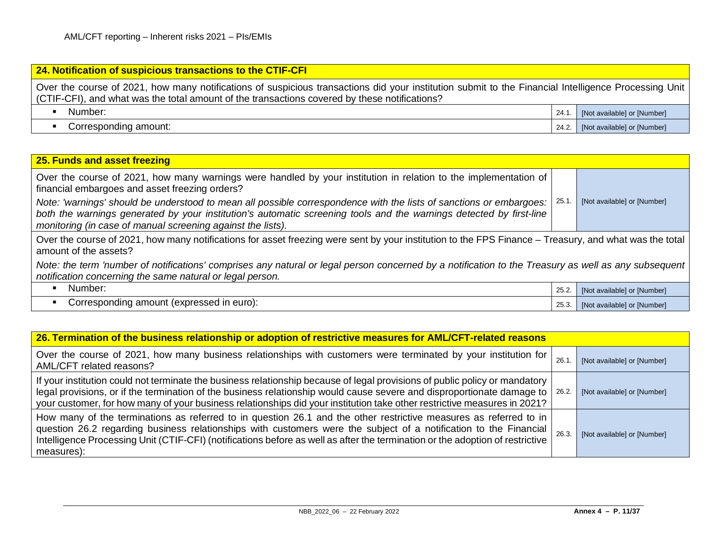# **24. Notification of suspicious transactions to the CTIF-CFI** Over the course of 2021, how many notifications of suspicious transactions did your institution submit to the Financial Intelligence Processing Unit (CTIF-CFI), and what was the total amount of the transactions covered by these notifications? ■ Number: 24.1. [Not available] or [Number] Corresponding amount: 24.2. [Not available] or [Number] 24.2. [Not available] or [Number]

### **25. Funds and asset freezing** Over the course of 2021, how many warnings were handled by your institution in relation to the implementation of financial embargoes and asset freezing orders? *Note: 'warnings' should be understood to mean all possible correspondence with the lists of sanctions or embargoes: both the warnings generated by your institution's automatic screening tools and the warnings detected by first-line monitoring (in case of manual screening against the lists).* 25.1. [Not available] or [Number] Over the course of 2021, how many notifications for asset freezing were sent by your institution to the FPS Finance – Treasury, and what was the total amount of the assets? *Note: the term 'number of notifications' comprises any natural or legal person concerned by a notification to the Treasury as well as any subsequent notification concerning the same natural or legal person.* ■ Number: 25.2. [Not available] or [Number] Corresponding amount (expressed in euro): 25.3. [Not available] or [Number]

| 26. Termination of the business relationship or adoption of restrictive measures for AML/CFT-related reasons                                                                                                                                                                                                                                                                                      |      |                             |
|---------------------------------------------------------------------------------------------------------------------------------------------------------------------------------------------------------------------------------------------------------------------------------------------------------------------------------------------------------------------------------------------------|------|-----------------------------|
| Over the course of 2021, how many business relationships with customers were terminated by your institution for<br>AML/CFT related reasons?                                                                                                                                                                                                                                                       | 26.1 | [Not available] or [Number] |
| If your institution could not terminate the business relationship because of legal provisions of public policy or mandatory<br>legal provisions, or if the termination of the business relationship would cause severe and disproportionate damage to $\sqrt{26.2}$ .<br>your customer, for how many of your business relationships did your institution take other restrictive measures in 2021? |      | [Not available] or [Number] |
| How many of the terminations as referred to in question 26.1 and the other restrictive measures as referred to in<br>question 26.2 regarding business relationships with customers were the subject of a notification to the Financial<br>Intelligence Processing Unit (CTIF-CFI) (notifications before as well as after the termination or the adoption of restrictive<br>measures):             | 26.3 | [Not available] or [Number] |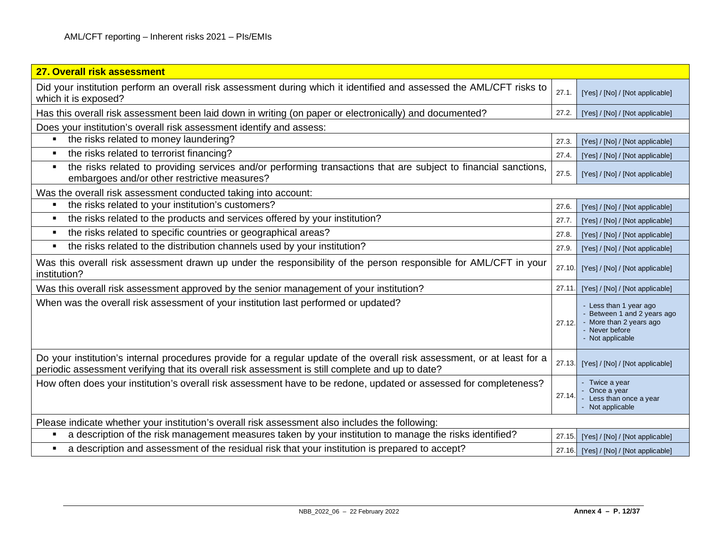| 27. Overall risk assessment                                                                                                                                                                                                  |        |                                                                                                                        |
|------------------------------------------------------------------------------------------------------------------------------------------------------------------------------------------------------------------------------|--------|------------------------------------------------------------------------------------------------------------------------|
| Did your institution perform an overall risk assessment during which it identified and assessed the AML/CFT risks to<br>which it is exposed?                                                                                 | 27.1.  | [Yes] / [No] / [Not applicable]                                                                                        |
| Has this overall risk assessment been laid down in writing (on paper or electronically) and documented?                                                                                                                      | 27.2.  | [Yes] / [No] / [Not applicable]                                                                                        |
| Does your institution's overall risk assessment identify and assess:                                                                                                                                                         |        |                                                                                                                        |
| the risks related to money laundering?                                                                                                                                                                                       | 27.3   | [Yes] / [No] / [Not applicable]                                                                                        |
| the risks related to terrorist financing?<br>٠                                                                                                                                                                               | 27.4.  | [Yes] / [No] / [Not applicable]                                                                                        |
| the risks related to providing services and/or performing transactions that are subject to financial sanctions,<br>$\blacksquare$<br>embargoes and/or other restrictive measures?                                            | 27.5.  | [Yes] / [No] / [Not applicable]                                                                                        |
| Was the overall risk assessment conducted taking into account:                                                                                                                                                               |        |                                                                                                                        |
| • the risks related to your institution's customers?                                                                                                                                                                         | 27.6.  | [Yes] / [No] / [Not applicable]                                                                                        |
| the risks related to the products and services offered by your institution?<br>$\blacksquare$                                                                                                                                | 27.7.  | [Yes] / [No] / [Not applicable]                                                                                        |
| the risks related to specific countries or geographical areas?<br>п                                                                                                                                                          | 27.8   | [Yes] / [No] / [Not applicable]                                                                                        |
| the risks related to the distribution channels used by your institution?<br>$\blacksquare$                                                                                                                                   | 27.9.  | [Yes] / [No] / [Not applicable]                                                                                        |
| Was this overall risk assessment drawn up under the responsibility of the person responsible for AML/CFT in your<br>institution?                                                                                             | 27.10. | [Yes] / [No] / [Not applicable]                                                                                        |
| Was this overall risk assessment approved by the senior management of your institution?                                                                                                                                      | 27.11. | [Yes] / [No] / [Not applicable]                                                                                        |
| When was the overall risk assessment of your institution last performed or updated?                                                                                                                                          | 27.12. | - Less than 1 year ago<br>- Between 1 and 2 years ago<br>- More than 2 years ago<br>- Never before<br>- Not applicable |
| Do your institution's internal procedures provide for a regular update of the overall risk assessment, or at least for a<br>periodic assessment verifying that its overall risk assessment is still complete and up to date? | 27.13. | [Yes] / [No] / [Not applicable]                                                                                        |
| How often does your institution's overall risk assessment have to be redone, updated or assessed for completeness?                                                                                                           | 27.14. | - Twice a year<br>- Once a year<br>Less than once a year<br>- Not applicable                                           |
| Please indicate whether your institution's overall risk assessment also includes the following:                                                                                                                              |        |                                                                                                                        |
| a description of the risk management measures taken by your institution to manage the risks identified?                                                                                                                      | 27.15. | [Yes] / [No] / [Not applicable]                                                                                        |
| a description and assessment of the residual risk that your institution is prepared to accept?                                                                                                                               |        | 27.16. [Yes] / [No] / [Not applicable]                                                                                 |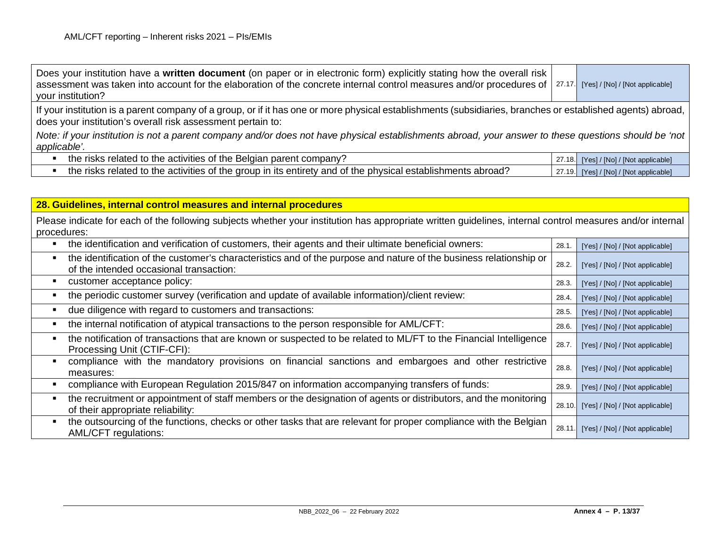| Does your institution have a written document (on paper or in electronic form) explicitly stating how the overall risk<br>assessment was taken into account for the elaboration of the concrete internal control measures and/or procedures of   27.17.<br>your institution? | [Yes] / [No] / [Not applicable]        |
|------------------------------------------------------------------------------------------------------------------------------------------------------------------------------------------------------------------------------------------------------------------------------|----------------------------------------|
| If your institution is a parent company of a group, or if it has one or more physical establishments (subsidiaries, branches or established agents) abroad,<br>does your institution's overall risk assessment pertain to:                                                   |                                        |
| Note: if your institution is not a parent company and/or does not have physical establishments abroad, your answer to these questions should be 'not  <br>applicable'.                                                                                                       |                                        |
| the risks related to the activities of the Belgian parent company?                                                                                                                                                                                                           | 27.18. [Yes] / [No] / [Not applicable] |
| the risks related to the activities of the group in its entirety and of the physical establishments abroad?                                                                                                                                                                  | 27.19. [Yes] / [No] / [Not applicable] |

| 28. Guidelines, internal control measures and internal procedures                                                                                                        |       |                                        |
|--------------------------------------------------------------------------------------------------------------------------------------------------------------------------|-------|----------------------------------------|
| Please indicate for each of the following subjects whether your institution has appropriate written guidelines, internal control measures and/or internal<br>procedures: |       |                                        |
| the identification and verification of customers, their agents and their ultimate beneficial owners:                                                                     | 28.1. | [Yes] / [No] / [Not applicable]        |
| the identification of the customer's characteristics and of the purpose and nature of the business relationship or<br>of the intended occasional transaction:            | 28.2. | [Yes] / [No] / [Not applicable]        |
| customer acceptance policy:                                                                                                                                              | 28.3. | [Yes] / [No] / [Not applicable]        |
| the periodic customer survey (verification and update of available information)/client review:                                                                           | 28.4. | [Yes] / [No] / [Not applicable]        |
| due diligence with regard to customers and transactions:                                                                                                                 | 28.5. | [Yes] / [No] / [Not applicable]        |
| the internal notification of atypical transactions to the person responsible for AML/CFT:                                                                                | 28.6. | [Yes] / [No] / [Not applicable]        |
| the notification of transactions that are known or suspected to be related to ML/FT to the Financial Intelligence<br>Processing Unit (CTIF-CFI):                         | 28.7. | [Yes] / [No] / [Not applicable]        |
| compliance with the mandatory provisions on financial sanctions and embargoes and other restrictive<br>measures:                                                         | 28.8. | [Yes] / [No] / [Not applicable]        |
| compliance with European Regulation 2015/847 on information accompanying transfers of funds:                                                                             | 28.9. | [Yes] / [No] / [Not applicable]        |
| the recruitment or appointment of staff members or the designation of agents or distributors, and the monitoring<br>of their appropriate reliability:                    |       | 28.10. [Yes] / [No] / [Not applicable] |
| the outsourcing of the functions, checks or other tasks that are relevant for proper compliance with the Belgian<br><b>AML/CFT regulations:</b>                          |       | 28.11. [Yes] / [No] / [Not applicable] |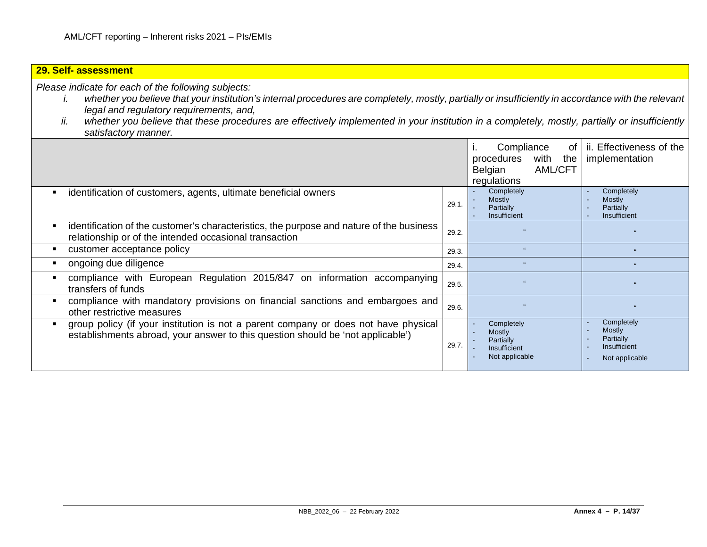#### **29. Self- assessment** *Please indicate for each of the following subjects: i. whether you believe that your institution's internal procedures are completely, mostly, partially or insufficiently in accordance with the relevant legal and regulatory requirements, and, ii. whether you believe that these procedures are effectively implemented in your institution in a completely, mostly, partially or insufficiently satisfactory manner.* i. Compliance of procedures with the Belgian AML/CFT regulations ii. Effectiveness of the implementation **EXECT** identification of customers, agents, ultimate beneficial owners 29.1. **Completely Mostly Partially** Insufficient **Completely Mostly Partially** Insufficient **EXECT** identification of the customer's characteristics, the purpose and nature of the business relationship or of the intended occasional transaction  $29.2$ . customer acceptance policy 29.3. " " ongoing due diligence 29.4. " " compliance with European Regulation 2015/847 on information accompanying  $\left| \frac{1}{29.5} \right|$  and  $\left| \frac{1}{29.5} \right|$  and  $\left| \frac{1}{29.5} \right|$  and  $\left| \frac{1}{29.5} \right|$  and  $\left| \frac{1}{29.5} \right|$  and  $\left| \frac{1}{29.5} \right|$  and  $\left| \frac{1}{29.5} \right|$  and  $\left| \frac{1}{29.5} \right|$  and  $\left| \frac{1}{29.5} \right|$  and  $\left| \frac{1}{29.5}$  compliance with mandatory provisions on financial sanctions and embargoes and other restrictive measures 29.6. " " **•** group policy (if your institution is not a parent company or does not have physical establishments abroad, your answer to this question should be 'not applicable') 29.7. **Completely Mostly Partially Insufficient** Not applicable **Completely Mostly** Partially **Insufficient** Not applicable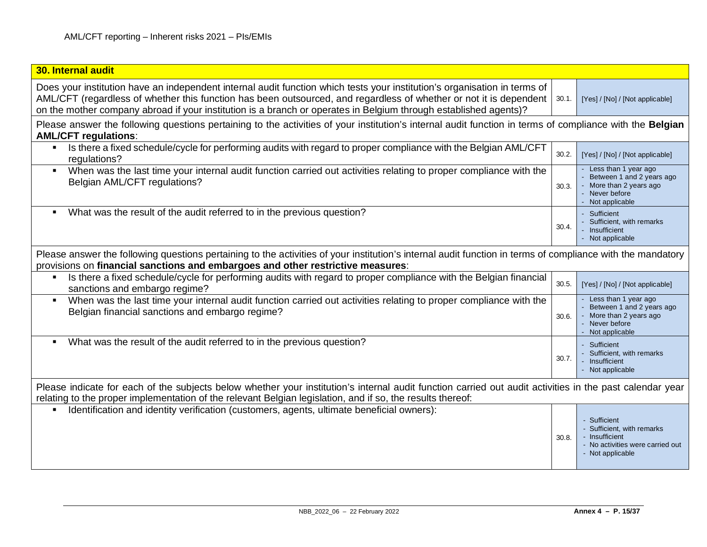| 30. Internal audit                                                                                                                                                                                                                                                                                                                                                  |       |                                                                                                                      |
|---------------------------------------------------------------------------------------------------------------------------------------------------------------------------------------------------------------------------------------------------------------------------------------------------------------------------------------------------------------------|-------|----------------------------------------------------------------------------------------------------------------------|
| Does your institution have an independent internal audit function which tests your institution's organisation in terms of<br>AML/CFT (regardless of whether this function has been outsourced, and regardless of whether or not it is dependent<br>on the mother company abroad if your institution is a branch or operates in Belgium through established agents)? | 30.1. | [Yes] / [No] / [Not applicable]                                                                                      |
| Please answer the following questions pertaining to the activities of your institution's internal audit function in terms of compliance with the Belgian<br><b>AML/CFT regulations:</b>                                                                                                                                                                             |       |                                                                                                                      |
| Is there a fixed schedule/cycle for performing audits with regard to proper compliance with the Belgian AML/CFT<br>$\blacksquare$<br>regulations?                                                                                                                                                                                                                   | 30.2. | [Yes] / [No] / [Not applicable]                                                                                      |
| When was the last time your internal audit function carried out activities relating to proper compliance with the<br>Belgian AML/CFT regulations?                                                                                                                                                                                                                   | 30.3. | Less than 1 year ago<br>Between 1 and 2 years ago<br>More than 2 years ago<br>- Never before<br>Not applicable       |
| What was the result of the audit referred to in the previous question?                                                                                                                                                                                                                                                                                              | 30.4. | Sufficient<br>Sufficient, with remarks<br>Insufficient<br>Not applicable                                             |
| Please answer the following questions pertaining to the activities of your institution's internal audit function in terms of compliance with the mandatory<br>provisions on financial sanctions and embargoes and other restrictive measures:                                                                                                                       |       |                                                                                                                      |
| Is there a fixed schedule/cycle for performing audits with regard to proper compliance with the Belgian financial<br>sanctions and embargo regime?                                                                                                                                                                                                                  | 30.5. | [Yes] / [No] / [Not applicable]                                                                                      |
| When was the last time your internal audit function carried out activities relating to proper compliance with the<br>Belgian financial sanctions and embargo regime?                                                                                                                                                                                                | 30.6. | Less than 1 year ago<br>Between 1 and 2 years ago<br>More than 2 years ago<br>- Never before<br>Not applicable       |
| What was the result of the audit referred to in the previous question?<br>٠                                                                                                                                                                                                                                                                                         | 30.7. | - Sufficient<br>Sufficient, with remarks<br>Insufficient<br>- Not applicable                                         |
| Please indicate for each of the subjects below whether your institution's internal audit function carried out audit activities in the past calendar year<br>relating to the proper implementation of the relevant Belgian legislation, and if so, the results thereof:                                                                                              |       |                                                                                                                      |
| Identification and identity verification (customers, agents, ultimate beneficial owners):                                                                                                                                                                                                                                                                           | 30.8. | - Sufficient<br>- Sufficient, with remarks<br>- Insufficient<br>- No activities were carried out<br>- Not applicable |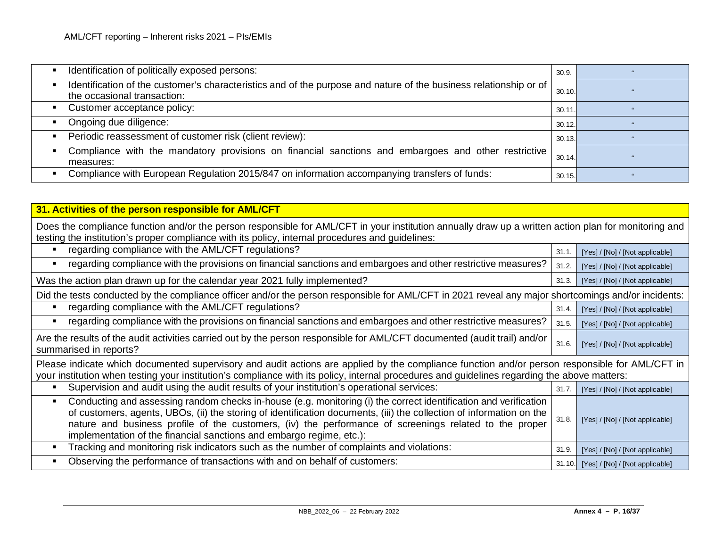| Identification of politically exposed persons:                                                                                                   | 30.9.  |  |
|--------------------------------------------------------------------------------------------------------------------------------------------------|--------|--|
| Identification of the customer's characteristics and of the purpose and nature of the business relationship or of<br>the occasional transaction: | 30.10. |  |
| Customer acceptance policy:<br>٠                                                                                                                 | 30.11. |  |
| Ongoing due diligence:                                                                                                                           | 30.12. |  |
| Periodic reassessment of customer risk (client review):<br>$\blacksquare$                                                                        | 30.13. |  |
| Compliance with the mandatory provisions on financial sanctions and embargoes and other restrictive<br>$\blacksquare$<br>measures:               | 30.14. |  |
| Compliance with European Regulation 2015/847 on information accompanying transfers of funds:<br>$\blacksquare$                                   | 30.15. |  |

| 31. Activities of the person responsible for AML/CFT                                                                                                                                                                                                                                                                                                                                                                                         |       |                                        |
|----------------------------------------------------------------------------------------------------------------------------------------------------------------------------------------------------------------------------------------------------------------------------------------------------------------------------------------------------------------------------------------------------------------------------------------------|-------|----------------------------------------|
| Does the compliance function and/or the person responsible for AML/CFT in your institution annually draw up a written action plan for monitoring and<br>testing the institution's proper compliance with its policy, internal procedures and guidelines:                                                                                                                                                                                     |       |                                        |
| regarding compliance with the AML/CFT regulations?                                                                                                                                                                                                                                                                                                                                                                                           | 31.1. | [Yes] / [No] / [Not applicable]        |
| regarding compliance with the provisions on financial sanctions and embargoes and other restrictive measures?                                                                                                                                                                                                                                                                                                                                | 31.2. | [Yes] / [No] / [Not applicable]        |
| Was the action plan drawn up for the calendar year 2021 fully implemented?                                                                                                                                                                                                                                                                                                                                                                   | 31.3. | [Yes] / [No] / [Not applicable]        |
| Did the tests conducted by the compliance officer and/or the person responsible for AML/CFT in 2021 reveal any major shortcomings and/or incidents:                                                                                                                                                                                                                                                                                          |       |                                        |
| regarding compliance with the AML/CFT regulations?                                                                                                                                                                                                                                                                                                                                                                                           | 31.4. | [Yes] / [No] / [Not applicable]        |
| regarding compliance with the provisions on financial sanctions and embargoes and other restrictive measures?                                                                                                                                                                                                                                                                                                                                | 31.5. | [Yes] / [No] / [Not applicable]        |
| Are the results of the audit activities carried out by the person responsible for AML/CFT documented (audit trail) and/or<br>summarised in reports?                                                                                                                                                                                                                                                                                          | 31.6. | [Yes] / [No] / [Not applicable]        |
| Please indicate which documented supervisory and audit actions are applied by the compliance function and/or person responsible for AML/CFT in<br>your institution when testing your institution's compliance with its policy, internal procedures and guidelines regarding the above matters:                                                                                                                                               |       |                                        |
| Supervision and audit using the audit results of your institution's operational services:                                                                                                                                                                                                                                                                                                                                                    | 31.7. | [Yes] / [No] / [Not applicable]        |
| Conducting and assessing random checks in-house (e.g. monitoring (i) the correct identification and verification<br>$\blacksquare$<br>of customers, agents, UBOs, (ii) the storing of identification documents, (iii) the collection of information on the<br>nature and business profile of the customers, (iv) the performance of screenings related to the proper<br>implementation of the financial sanctions and embargo regime, etc.): | 31.8. | [Yes] / [No] / [Not applicable]        |
| Tracking and monitoring risk indicators such as the number of complaints and violations:<br>$\blacksquare$                                                                                                                                                                                                                                                                                                                                   | 31.9. | [Yes] / [No] / [Not applicable]        |
| Observing the performance of transactions with and on behalf of customers:<br>$\blacksquare$                                                                                                                                                                                                                                                                                                                                                 |       | 31.10. [Yes] / [No] / [Not applicable] |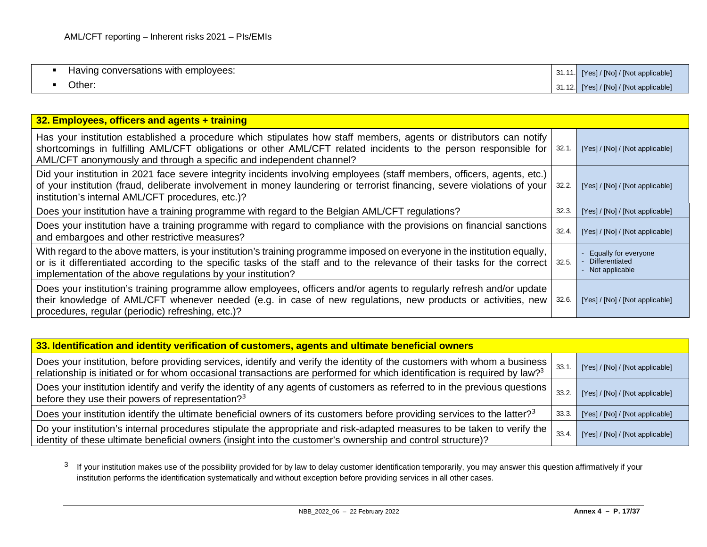<span id="page-16-0"></span>

| . .<br>–∽<br>nversations with<br>employees:<br><b>Having</b> | $\sim$<br>. ا ب   | $\sqrt{1/2}$ [Not applicable,<br>/ [No] /<br>IV <sub>OC</sub> |
|--------------------------------------------------------------|-------------------|---------------------------------------------------------------|
| Other:                                                       | $\sim$<br>- 71.16 | VINot applicable,<br>/ [No] /<br><b>TYes</b>                  |

| 32. Employees, officers and agents + training                                                                                                                                                                                                                                                                          |       |                                                                   |
|------------------------------------------------------------------------------------------------------------------------------------------------------------------------------------------------------------------------------------------------------------------------------------------------------------------------|-------|-------------------------------------------------------------------|
| Has your institution established a procedure which stipulates how staff members, agents or distributors can notify<br>shortcomings in fulfilling AML/CFT obligations or other AML/CFT related incidents to the person responsible for<br>AML/CFT anonymously and through a specific and independent channel?           | 32.1. | [Yes] / [No] / [Not applicable]                                   |
| Did your institution in 2021 face severe integrity incidents involving employees (staff members, officers, agents, etc.)<br>of your institution (fraud, deliberate involvement in money laundering or terrorist financing, severe violations of your  <br>institution's internal AML/CFT procedures, etc.)?            | 32.2. | [Yes] / [No] / [Not applicable]                                   |
| Does your institution have a training programme with regard to the Belgian AML/CFT regulations?                                                                                                                                                                                                                        | 32.3. | [Yes] / [No] / [Not applicable]                                   |
| Does your institution have a training programme with regard to compliance with the provisions on financial sanctions<br>and embargoes and other restrictive measures?                                                                                                                                                  | 32.4. | [Yes] / [No] / [Not applicable]                                   |
| With regard to the above matters, is your institution's training programme imposed on everyone in the institution equally,<br>or is it differentiated according to the specific tasks of the staff and to the relevance of their tasks for the correct<br>implementation of the above regulations by your institution? | 32.5. | Equally for everyone<br><b>Differentiated</b><br>- Not applicable |
| Does your institution's training programme allow employees, officers and/or agents to regularly refresh and/or update<br>their knowledge of AML/CFT whenever needed (e.g. in case of new regulations, new products or activities, new<br>procedures, regular (periodic) refreshing, etc.)?                             | 32.6. | [Yes] / [No] / [Not applicable]                                   |

| 33. Identification and identity verification of customers, agents and ultimate beneficial owners                                                                                                                                                                  |       |                                 |
|-------------------------------------------------------------------------------------------------------------------------------------------------------------------------------------------------------------------------------------------------------------------|-------|---------------------------------|
| Does your institution, before providing services, identify and verify the identity of the customers with whom a business<br>relationship is initiated or for whom occasional transactions are performed for which identification is required by law? <sup>3</sup> | 33.1  | [Yes] / [No] / [Not applicable] |
| Does your institution identify and verify the identity of any agents of customers as referred to in the previous questions  <br>before they use their powers of representation? <sup>3</sup>                                                                      | 33.2. | [Yes] / [No] / [Not applicable] |
| Does your institution identify the ultimate beneficial owners of its customers before providing services to the latter? <sup>3</sup>                                                                                                                              | 33.3. | [Yes] / [No] / [Not applicable] |
| Do your institution's internal procedures stipulate the appropriate and risk-adapted measures to be taken to verify the  <br>identity of these ultimate beneficial owners (insight into the customer's ownership and control structure)?                          | 33.4. | [Yes] / [No] / [Not applicable] |

 $3$  If your institution makes use of the possibility provided for by law to delay customer identification temporarily, you may answer this question affirmatively if your institution performs the identification systematically and without exception before providing services in all other cases.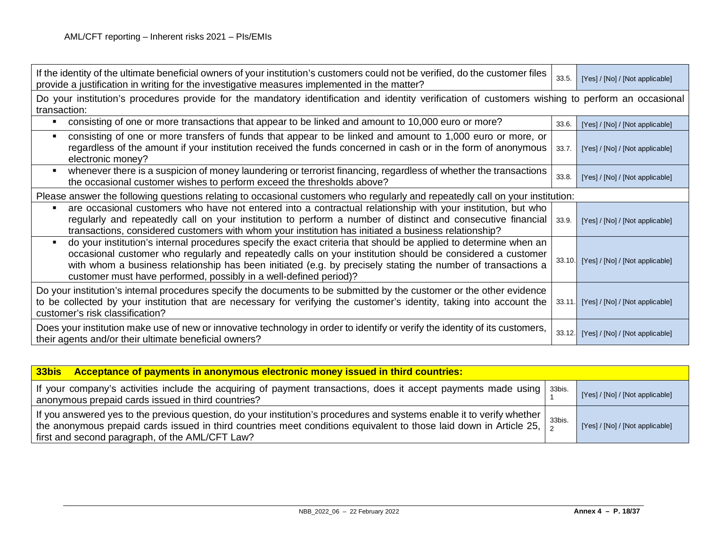| If the identity of the ultimate beneficial owners of your institution's customers could not be verified, do the customer files<br>provide a justification in writing for the investigative measures implemented in the matter?                                                                                                                                                                                      | 33.5. | [Yes] / [No] / [Not applicable]        |
|---------------------------------------------------------------------------------------------------------------------------------------------------------------------------------------------------------------------------------------------------------------------------------------------------------------------------------------------------------------------------------------------------------------------|-------|----------------------------------------|
| Do your institution's procedures provide for the mandatory identification and identity verification of customers wishing to perform an occasional<br>transaction:                                                                                                                                                                                                                                                   |       |                                        |
| consisting of one or more transactions that appear to be linked and amount to 10,000 euro or more?                                                                                                                                                                                                                                                                                                                  | 33.6. | [Yes] / [No] / [Not applicable]        |
| consisting of one or more transfers of funds that appear to be linked and amount to 1,000 euro or more, or<br>regardless of the amount if your institution received the funds concerned in cash or in the form of anonymous<br>electronic money?                                                                                                                                                                    | 33.7. | [Yes] / [No] / [Not applicable]        |
| whenever there is a suspicion of money laundering or terrorist financing, regardless of whether the transactions<br>the occasional customer wishes to perform exceed the thresholds above?                                                                                                                                                                                                                          | 33.8. | [Yes] / [No] / [Not applicable]        |
| Please answer the following questions relating to occasional customers who regularly and repeatedly call on your institution:                                                                                                                                                                                                                                                                                       |       |                                        |
| are occasional customers who have not entered into a contractual relationship with your institution, but who<br>regularly and repeatedly call on your institution to perform a number of distinct and consecutive financial<br>transactions, considered customers with whom your institution has initiated a business relationship?                                                                                 | 33.9. | [Yes] / [No] / [Not applicable]        |
| do your institution's internal procedures specify the exact criteria that should be applied to determine when an<br>occasional customer who regularly and repeatedly calls on your institution should be considered a customer<br>with whom a business relationship has been initiated (e.g. by precisely stating the number of transactions a<br>customer must have performed, possibly in a well-defined period)? |       | 33.10. [Yes] / [No] / [Not applicable] |
| Do your institution's internal procedures specify the documents to be submitted by the customer or the other evidence<br>to be collected by your institution that are necessary for verifying the customer's identity, taking into account the<br>customer's risk classification?                                                                                                                                   |       | 33.11. [Yes] / [No] / [Not applicable] |
| Does your institution make use of new or innovative technology in order to identify or verify the identity of its customers,<br>their agents and/or their ultimate beneficial owners?                                                                                                                                                                                                                               |       | 33.12. [Yes] / [No] / [Not applicable] |

| 33bis Acceptance of payments in anonymous electronic money issued in third countries:                                                                                                                                                                                                                         |        |                                 |
|---------------------------------------------------------------------------------------------------------------------------------------------------------------------------------------------------------------------------------------------------------------------------------------------------------------|--------|---------------------------------|
| If your company's activities include the acquiring of payment transactions, does it accept payments made using   33bis.<br>anonymous prepaid cards issued in third countries?                                                                                                                                 |        | [Yes] / [No] / [Not applicable] |
| If you answered yes to the previous question, do your institution's procedures and systems enable it to verify whether<br>the anonymous prepaid cards issued in third countries meet conditions equivalent to those laid down in Article 25, $\frac{3}{2}$<br>first and second paragraph, of the AML/CFT Law? | 33bis. | [Yes] / [No] / [Not applicable] |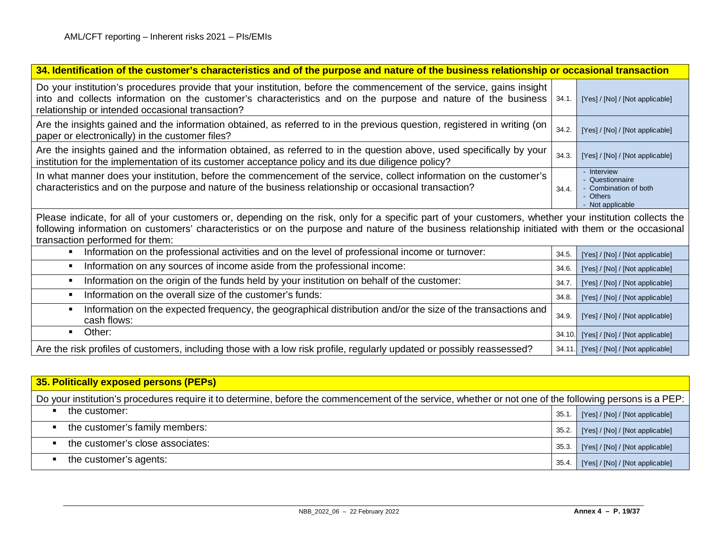| 34. Identification of the customer's characteristics and of the purpose and nature of the business relationship or occasional transaction                                                                                                                                                                                                         |       |                                                                                       |  |
|---------------------------------------------------------------------------------------------------------------------------------------------------------------------------------------------------------------------------------------------------------------------------------------------------------------------------------------------------|-------|---------------------------------------------------------------------------------------|--|
| Do your institution's procedures provide that your institution, before the commencement of the service, gains insight<br>into and collects information on the customer's characteristics and on the purpose and nature of the business<br>relationship or intended occasional transaction?                                                        | 34.1  | [Yes] / [No] / [Not applicable]                                                       |  |
| Are the insights gained and the information obtained, as referred to in the previous question, registered in writing (on<br>paper or electronically) in the customer files?                                                                                                                                                                       | 34.2. | [Yes] / [No] / [Not applicable]                                                       |  |
| Are the insights gained and the information obtained, as referred to in the question above, used specifically by your<br>institution for the implementation of its customer acceptance policy and its due diligence policy?                                                                                                                       | 34.3. | [Yes] / [No] / [Not applicable]                                                       |  |
| In what manner does your institution, before the commencement of the service, collect information on the customer's<br>characteristics and on the purpose and nature of the business relationship or occasional transaction?                                                                                                                      | 34.4. | - Interview<br>- Questionnaire<br>- Combination of both<br>- Others<br>Not applicable |  |
| Please indicate, for all of your customers or, depending on the risk, only for a specific part of your customers, whether your institution collects the<br>following information on customers' characteristics or on the purpose and nature of the business relationship initiated with them or the occasional<br>transaction performed for them: |       |                                                                                       |  |
| Information on the professional activities and on the level of professional income or turnover:<br>$\blacksquare$                                                                                                                                                                                                                                 | 34.5. | [Yes] / [No] / [Not applicable]                                                       |  |
| Information on any sources of income aside from the professional income:<br>$\blacksquare$                                                                                                                                                                                                                                                        | 34.6  | [Yes] / [No] / [Not applicable]                                                       |  |
| Information on the origin of the funds held by your institution on behalf of the customer:<br>$\blacksquare$                                                                                                                                                                                                                                      | 34.7  | [Yes] / [No] / [Not applicable]                                                       |  |
| Information on the overall size of the customer's funds:<br>$\blacksquare$                                                                                                                                                                                                                                                                        | 34.8. | [Yes] / [No] / [Not applicable]                                                       |  |
| Information on the expected frequency, the geographical distribution and/or the size of the transactions and<br>$\blacksquare$<br>cash flows:                                                                                                                                                                                                     | 34.9. | [Yes] / [No] / [Not applicable]                                                       |  |
| Other:<br>$\blacksquare$                                                                                                                                                                                                                                                                                                                          |       | 34.10. [Yes] / [No] / [Not applicable]                                                |  |
| Are the risk profiles of customers, including those with a low risk profile, regularly updated or possibly reassessed?                                                                                                                                                                                                                            |       | 34.11. [Yes] / [No] / [Not applicable]                                                |  |

| 35. Politically exposed persons (PEPs)                                                                                                                  |       |                                 |
|---------------------------------------------------------------------------------------------------------------------------------------------------------|-------|---------------------------------|
| Do your institution's procedures require it to determine, before the commencement of the service, whether or not one of the following persons is a PEP: |       |                                 |
| the customer:                                                                                                                                           | 35.1  | [Yes] / [No] / [Not applicable] |
| the customer's family members:                                                                                                                          | 35.2. | [Yes] / [No] / [Not applicable] |
| the customer's close associates:                                                                                                                        | 35.3. | [Yes] / [No] / [Not applicable] |
| the customer's agents:                                                                                                                                  | 35.4. | [Yes] / [No] / [Not applicable] |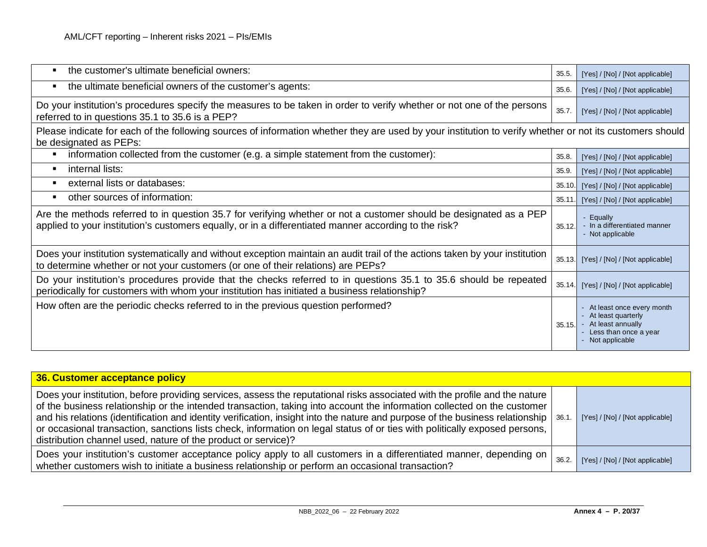| the customer's ultimate beneficial owners:<br>$\blacksquare$                                                                                                                                                                | 35.5.  | [Yes] / [No] / [Not applicable]                                                                                         |
|-----------------------------------------------------------------------------------------------------------------------------------------------------------------------------------------------------------------------------|--------|-------------------------------------------------------------------------------------------------------------------------|
| the ultimate beneficial owners of the customer's agents:<br>٠                                                                                                                                                               | 35.6.  | [Yes] / [No] / [Not applicable]                                                                                         |
| Do your institution's procedures specify the measures to be taken in order to verify whether or not one of the persons<br>referred to in questions 35.1 to 35.6 is a PEP?                                                   | 35.7.  | [Yes] / [No] / [Not applicable]                                                                                         |
| Please indicate for each of the following sources of information whether they are used by your institution to verify whether or not its customers should<br>be designated as PEPs:                                          |        |                                                                                                                         |
| information collected from the customer (e.g. a simple statement from the customer):<br>$\blacksquare$                                                                                                                      | 35.8   | [Yes] / [No] / [Not applicable]                                                                                         |
| internal lists:<br>$\blacksquare$                                                                                                                                                                                           | 35.9   | [Yes] / [No] / [Not applicable]                                                                                         |
| external lists or databases:<br>$\blacksquare$                                                                                                                                                                              | 35.10. | [Yes] / [No] / [Not applicable]                                                                                         |
| other sources of information:<br>٠                                                                                                                                                                                          | 35.11. | [Yes] / [No] / [Not applicable]                                                                                         |
| Are the methods referred to in question 35.7 for verifying whether or not a customer should be designated as a PEP<br>applied to your institution's customers equally, or in a differentiated manner according to the risk? | 35.12. | - Equally<br>- In a differentiated manner<br>- Not applicable                                                           |
| Does your institution systematically and without exception maintain an audit trail of the actions taken by your institution<br>to determine whether or not your customers (or one of their relations) are PEPs?             | 35.13. | [Yes] / [No] / [Not applicable]                                                                                         |
| Do your institution's procedures provide that the checks referred to in questions 35.1 to 35.6 should be repeated<br>periodically for customers with whom your institution has initiated a business relationship?           | 35.14. | [Yes] / [No] / [Not applicable]                                                                                         |
| How often are the periodic checks referred to in the previous question performed?                                                                                                                                           | 35.15. | - At least once every month<br>- At least quarterly<br>At least annually<br>- Less than once a year<br>- Not applicable |

| 36. Customer acceptance policy                                                                                                                                                                                                                                                                                                                                                                                                                                                                                                                                                                |       |                                 |
|-----------------------------------------------------------------------------------------------------------------------------------------------------------------------------------------------------------------------------------------------------------------------------------------------------------------------------------------------------------------------------------------------------------------------------------------------------------------------------------------------------------------------------------------------------------------------------------------------|-------|---------------------------------|
| Does your institution, before providing services, assess the reputational risks associated with the profile and the nature<br>of the business relationship or the intended transaction, taking into account the information collected on the customer<br>and his relations (identification and identity verification, insight into the nature and purpose of the business relationship   36.1.<br>or occasional transaction, sanctions lists check, information on legal status of or ties with politically exposed persons,<br>distribution channel used, nature of the product or service)? |       | [Yes] / [No] / [Not applicable] |
| Does your institution's customer acceptance policy apply to all customers in a differentiated manner, depending on<br>whether customers wish to initiate a business relationship or perform an occasional transaction?                                                                                                                                                                                                                                                                                                                                                                        | 36.2. | [Yes] / [No] / [Not applicable] |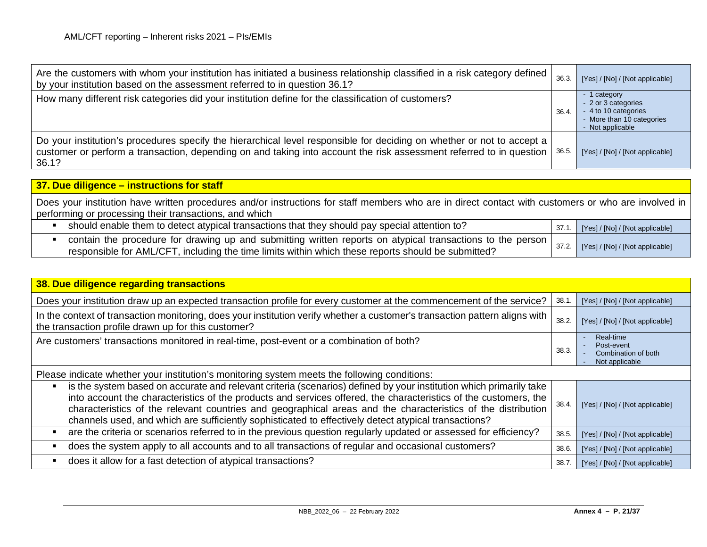| Are the customers with whom your institution has initiated a business relationship classified in a risk category defined<br>by your institution based on the assessment referred to in question 36.1?                                                          | 36.3. | [Yes] / [No] / [Not applicable]                                                                              |
|----------------------------------------------------------------------------------------------------------------------------------------------------------------------------------------------------------------------------------------------------------------|-------|--------------------------------------------------------------------------------------------------------------|
| How many different risk categories did your institution define for the classification of customers?                                                                                                                                                            | 36.4. | - 1 category<br>- 2 or 3 categories<br>- 4 to 10 categories<br>- More than 10 categories<br>- Not applicable |
| Do your institution's procedures specify the hierarchical level responsible for deciding on whether or not to accept a<br>customer or perform a transaction, depending on and taking into account the risk assessment referred to in question   36.5.<br>36.1? |       | [Yes] / [No] / [Not applicable]                                                                              |

| 37. Due diligence – instructions for staff                                                                                                                                                                       |                                       |
|------------------------------------------------------------------------------------------------------------------------------------------------------------------------------------------------------------------|---------------------------------------|
| Does your institution have written procedures and/or instructions for staff members who are in direct contact with customers or who are involved in<br>performing or processing their transactions, and which    |                                       |
| should enable them to detect atypical transactions that they should pay special attention to?                                                                                                                    | 37.1. [Yes] / [No] / [Not applicable] |
| contain the procedure for drawing up and submitting written reports on atypical transactions to the person<br>responsible for AML/CFT, including the time limits within which these reports should be submitted? | 37.2. [Yes] / [No] / [Not applicable] |

| 38. Due diligence regarding transactions                                                                                                                                                                                                                                                                                                                                                                                                                       |       |                                                                  |
|----------------------------------------------------------------------------------------------------------------------------------------------------------------------------------------------------------------------------------------------------------------------------------------------------------------------------------------------------------------------------------------------------------------------------------------------------------------|-------|------------------------------------------------------------------|
| Does your institution draw up an expected transaction profile for every customer at the commencement of the service?                                                                                                                                                                                                                                                                                                                                           | 38.1. | [Yes] / [No] / [Not applicable]                                  |
| In the context of transaction monitoring, does your institution verify whether a customer's transaction pattern aligns with<br>the transaction profile drawn up for this customer?                                                                                                                                                                                                                                                                             | 38.2. | [Yes] / [No] / [Not applicable]                                  |
| Are customers' transactions monitored in real-time, post-event or a combination of both?                                                                                                                                                                                                                                                                                                                                                                       | 38.3. | Real-time<br>Post-event<br>Combination of both<br>Not applicable |
| Please indicate whether your institution's monitoring system meets the following conditions:                                                                                                                                                                                                                                                                                                                                                                   |       |                                                                  |
| is the system based on accurate and relevant criteria (scenarios) defined by your institution which primarily take<br>into account the characteristics of the products and services offered, the characteristics of the customers, the<br>characteristics of the relevant countries and geographical areas and the characteristics of the distribution<br>channels used, and which are sufficiently sophisticated to effectively detect atypical transactions? | 38.4. | [Yes] / [No] / [Not applicable]                                  |
| are the criteria or scenarios referred to in the previous question regularly updated or assessed for efficiency?                                                                                                                                                                                                                                                                                                                                               | 38.5. | [Yes] / [No] / [Not applicable]                                  |
| does the system apply to all accounts and to all transactions of regular and occasional customers?                                                                                                                                                                                                                                                                                                                                                             | 38.6. | [Yes] / [No] / [Not applicable]                                  |
| does it allow for a fast detection of atypical transactions?                                                                                                                                                                                                                                                                                                                                                                                                   | 38.7. | [Yes] / [No] / [Not applicable]                                  |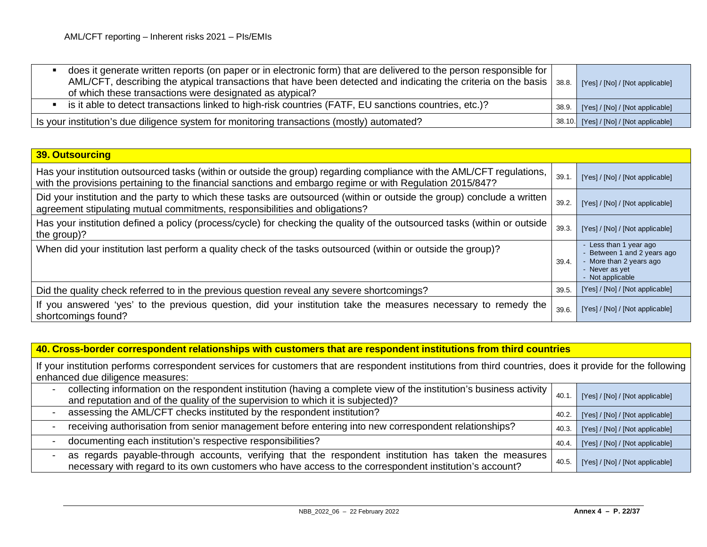| does it generate written reports (on paper or in electronic form) that are delivered to the person responsible for<br>AML/CFT, describing the atypical transactions that have been detected and indicating the criteria on the basis   38.8.<br>of which these transactions were designated as atypical? | [Yes] / [No] / [Not applicable]        |
|----------------------------------------------------------------------------------------------------------------------------------------------------------------------------------------------------------------------------------------------------------------------------------------------------------|----------------------------------------|
| is it able to detect transactions linked to high-risk countries (FATF, EU sanctions countries, etc.)?                                                                                                                                                                                                    | 38.9. [Yes] / [No] / [Not applicable]  |
| Is your institution's due diligence system for monitoring transactions (mostly) automated?                                                                                                                                                                                                               | 38.10. [Yes] / [No] / [Not applicable] |

| <b>39. Outsourcing</b>                                                                                                                                                                                                              |       |                                                                                                                      |
|-------------------------------------------------------------------------------------------------------------------------------------------------------------------------------------------------------------------------------------|-------|----------------------------------------------------------------------------------------------------------------------|
| Has your institution outsourced tasks (within or outside the group) regarding compliance with the AML/CFT regulations,<br>with the provisions pertaining to the financial sanctions and embargo regime or with Regulation 2015/847? | 39.1  | [Yes] / [No] / [Not applicable]                                                                                      |
| Did your institution and the party to which these tasks are outsourced (within or outside the group) conclude a written<br>agreement stipulating mutual commitments, responsibilities and obligations?                              | 39.2. | [Yes] / [No] / [Not applicable]                                                                                      |
| Has your institution defined a policy (process/cycle) for checking the quality of the outsourced tasks (within or outside<br>the group)?                                                                                            | 39.3. | [Yes] / [No] / [Not applicable]                                                                                      |
| When did your institution last perform a quality check of the tasks outsourced (within or outside the group)?                                                                                                                       | 39.4. | - Less than 1 year ago<br>Between 1 and 2 years ago<br>- More than 2 years ago<br>- Never as yet<br>- Not applicable |
| Did the quality check referred to in the previous question reveal any severe shortcomings?                                                                                                                                          | 39.5. | [Yes] / [No] / [Not applicable]                                                                                      |
| If you answered 'yes' to the previous question, did your institution take the measures necessary to remedy the<br>shortcomings found?                                                                                               | 39.6. | [Yes] / [No] / [Not applicable]                                                                                      |

**40. Cross-border correspondent relationships with customers that are respondent institutions from third countries**

If your institution performs correspondent services for customers that are respondent institutions from third countries, does it provide for the following enhanced due diligence measures:

| collecting information on the respondent institution (having a complete view of the institution's business activity<br>and reputation and of the quality of the supervision to which it is subjected)?          | 40.1  | [Yes] / [No] / [Not applicable] |
|-----------------------------------------------------------------------------------------------------------------------------------------------------------------------------------------------------------------|-------|---------------------------------|
| assessing the AML/CFT checks instituted by the respondent institution?                                                                                                                                          | 40.2. | [Yes] / [No] / [Not applicable] |
| receiving authorisation from senior management before entering into new correspondent relationships?                                                                                                            | 40.3. | [Yes] / [No] / [Not applicable] |
| documenting each institution's respective responsibilities?                                                                                                                                                     | 40.4. | [Yes] / [No] / [Not applicable] |
| as regards payable-through accounts, verifying that the respondent institution has taken the measures<br>necessary with regard to its own customers who have access to the correspondent institution's account? | 40.5. | [Yes] / [No] / [Not applicable] |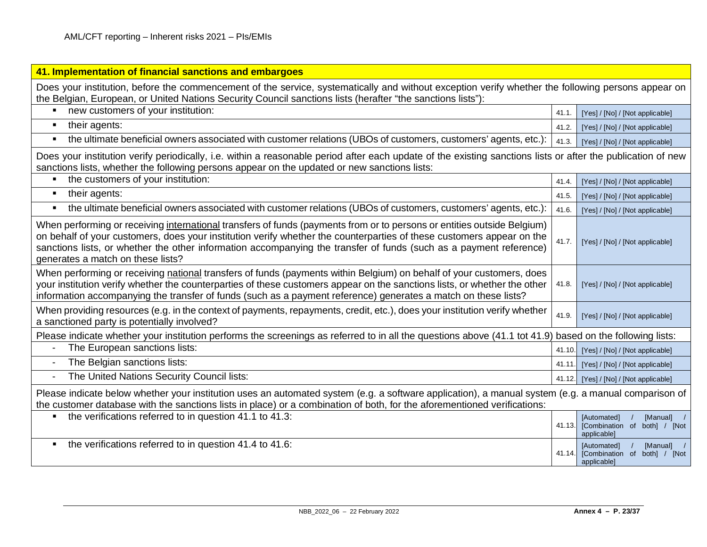| 41. Implementation of financial sanctions and embargoes                                                                                                                                                                                                                                                                                                                                                     |        |                                                                          |
|-------------------------------------------------------------------------------------------------------------------------------------------------------------------------------------------------------------------------------------------------------------------------------------------------------------------------------------------------------------------------------------------------------------|--------|--------------------------------------------------------------------------|
| Does your institution, before the commencement of the service, systematically and without exception verify whether the following persons appear on<br>the Belgian, European, or United Nations Security Council sanctions lists (herafter "the sanctions lists"):                                                                                                                                           |        |                                                                          |
| new customers of your institution:<br>$\blacksquare$                                                                                                                                                                                                                                                                                                                                                        | 41.1.  | [Yes] / [No] / [Not applicable]                                          |
| their agents:<br>$\blacksquare$                                                                                                                                                                                                                                                                                                                                                                             | 41.2.  | [Yes] / [No] / [Not applicable]                                          |
| the ultimate beneficial owners associated with customer relations (UBOs of customers, customers' agents, etc.):<br>٠                                                                                                                                                                                                                                                                                        | 41.3.  | [Yes] / [No] / [Not applicable]                                          |
| Does your institution verify periodically, i.e. within a reasonable period after each update of the existing sanctions lists or after the publication of new<br>sanctions lists, whether the following persons appear on the updated or new sanctions lists:                                                                                                                                                |        |                                                                          |
| the customers of your institution:<br>Ξ                                                                                                                                                                                                                                                                                                                                                                     | 41.4.  | [Yes] / [No] / [Not applicable]                                          |
| their agents:<br>٠                                                                                                                                                                                                                                                                                                                                                                                          | 41.5.  | [Yes] / [No] / [Not applicable]                                          |
| the ultimate beneficial owners associated with customer relations (UBOs of customers, customers' agents, etc.):<br>$\blacksquare$                                                                                                                                                                                                                                                                           | 41.6.  | [Yes] / [No] / [Not applicable]                                          |
| When performing or receiving international transfers of funds (payments from or to persons or entities outside Belgium)<br>on behalf of your customers, does your institution verify whether the counterparties of these customers appear on the<br>sanctions lists, or whether the other information accompanying the transfer of funds (such as a payment reference)<br>generates a match on these lists? | 41.7.  | [Yes] / [No] / [Not applicable]                                          |
| When performing or receiving national transfers of funds (payments within Belgium) on behalf of your customers, does<br>your institution verify whether the counterparties of these customers appear on the sanctions lists, or whether the other<br>information accompanying the transfer of funds (such as a payment reference) generates a match on these lists?                                         | 41.8.  | [Yes] / [No] / [Not applicable]                                          |
| When providing resources (e.g. in the context of payments, repayments, credit, etc.), does your institution verify whether<br>a sanctioned party is potentially involved?                                                                                                                                                                                                                                   | 41.9.  | [Yes] / [No] / [Not applicable]                                          |
| Please indicate whether your institution performs the screenings as referred to in all the questions above (41.1 tot 41.9) based on the following lists:                                                                                                                                                                                                                                                    |        |                                                                          |
| The European sanctions lists:<br>$\blacksquare$                                                                                                                                                                                                                                                                                                                                                             | 41.10. | [Yes] / [No] / [Not applicable]                                          |
| The Belgian sanctions lists:<br>$\overline{\phantom{a}}$                                                                                                                                                                                                                                                                                                                                                    | 41.11  | [Yes] / [No] / [Not applicable]                                          |
| The United Nations Security Council lists:<br>$\blacksquare$                                                                                                                                                                                                                                                                                                                                                | 41.12. | [Yes] / [No] / [Not applicable]                                          |
| Please indicate below whether your institution uses an automated system (e.g. a software application), a manual system (e.g. a manual comparison of<br>the customer database with the sanctions lists in place) or a combination of both, for the aforementioned verifications:                                                                                                                             |        |                                                                          |
| the verifications referred to in question 41.1 to 41.3:<br>$\blacksquare$                                                                                                                                                                                                                                                                                                                                   | 41.13. | [Automated]<br>[Manual] /<br>[Combination of both] / [Not<br>applicable] |
| the verifications referred to in question 41.4 to 41.6:<br>Ξ                                                                                                                                                                                                                                                                                                                                                | 41.14. | [Manual] /<br>[Automated]<br>[Combination of both] / [Not<br>applicable] |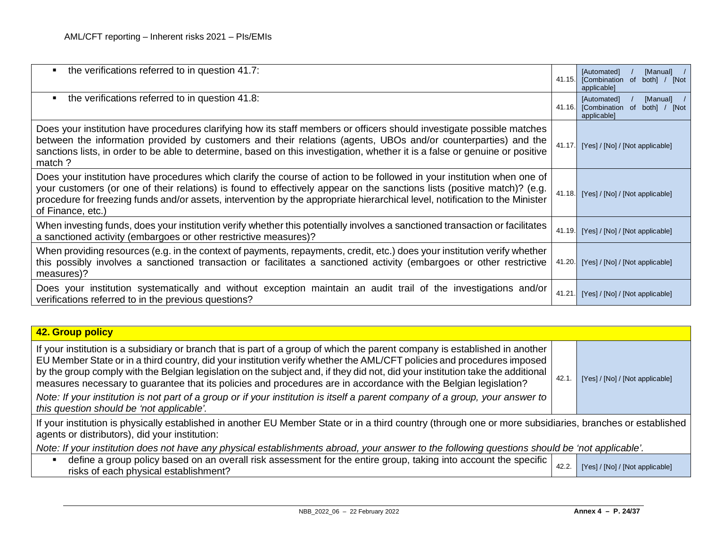| the verifications referred to in question 41.7:<br>$\blacksquare$                                                                                                                                                                                                                                                                                                                                        | 41.15. | [Manual]<br>[Automated]<br>[Combination of<br>both] / [Not<br>applicable] |
|----------------------------------------------------------------------------------------------------------------------------------------------------------------------------------------------------------------------------------------------------------------------------------------------------------------------------------------------------------------------------------------------------------|--------|---------------------------------------------------------------------------|
| the verifications referred to in question 41.8:<br>$\blacksquare$                                                                                                                                                                                                                                                                                                                                        | 41.16. | [Manual]<br>[Automated]<br>[Combination of<br>both] / [Not<br>applicable] |
| Does your institution have procedures clarifying how its staff members or officers should investigate possible matches<br>between the information provided by customers and their relations (agents, UBOs and/or counterparties) and the<br>sanctions lists, in order to be able to determine, based on this investigation, whether it is a false or genuine or positive<br>match ?                      | 41.17. | [Yes] / [No] / [Not applicable]                                           |
| Does your institution have procedures which clarify the course of action to be followed in your institution when one of<br>your customers (or one of their relations) is found to effectively appear on the sanctions lists (positive match)? (e.g.<br>procedure for freezing funds and/or assets, intervention by the appropriate hierarchical level, notification to the Minister<br>of Finance, etc.) | 41.18. | [Yes] / [No] / [Not applicable]                                           |
| When investing funds, does your institution verify whether this potentially involves a sanctioned transaction or facilitates<br>a sanctioned activity (embargoes or other restrictive measures)?                                                                                                                                                                                                         | 41.19. | [Yes] / [No] / [Not applicable]                                           |
| When providing resources (e.g. in the context of payments, repayments, credit, etc.) does your institution verify whether<br>this possibly involves a sanctioned transaction or facilitates a sanctioned activity (embargoes or other restrictive<br>measures)?                                                                                                                                          | 41.20. | [Yes] / [No] / [Not applicable]                                           |
| Does your institution systematically and without exception maintain an audit trail of the investigations and/or<br>verifications referred to in the previous questions?                                                                                                                                                                                                                                  | 41.21  | [Yes] / [No] / [Not applicable]                                           |

| 42. Group policy                                                                                                                                                                                                                                                                                                                                                                                                                                                                                                                                                                                                                             |       |                                 |  |
|----------------------------------------------------------------------------------------------------------------------------------------------------------------------------------------------------------------------------------------------------------------------------------------------------------------------------------------------------------------------------------------------------------------------------------------------------------------------------------------------------------------------------------------------------------------------------------------------------------------------------------------------|-------|---------------------------------|--|
| If your institution is a subsidiary or branch that is part of a group of which the parent company is established in another<br>EU Member State or in a third country, did your institution verify whether the AML/CFT policies and procedures imposed<br>by the group comply with the Belgian legislation on the subject and, if they did not, did your institution take the additional<br>measures necessary to guarantee that its policies and procedures are in accordance with the Belgian legislation?<br>Note: If your institution is not part of a group or if your institution is itself a parent company of a group, your answer to | 42.1  | [Yes] / [No] / [Not applicable] |  |
| this question should be 'not applicable'.                                                                                                                                                                                                                                                                                                                                                                                                                                                                                                                                                                                                    |       |                                 |  |
| If your institution is physically established in another EU Member State or in a third country (through one or more subsidiaries, branches or established<br>agents or distributors), did your institution:                                                                                                                                                                                                                                                                                                                                                                                                                                  |       |                                 |  |
| Note: If your institution does not have any physical establishments abroad, your answer to the following questions should be 'not applicable'.                                                                                                                                                                                                                                                                                                                                                                                                                                                                                               |       |                                 |  |
| define a group policy based on an overall risk assessment for the entire group, taking into account the specific<br>risks of each physical establishment?                                                                                                                                                                                                                                                                                                                                                                                                                                                                                    | 42.2. | [Yes] / [No] / [Not applicable] |  |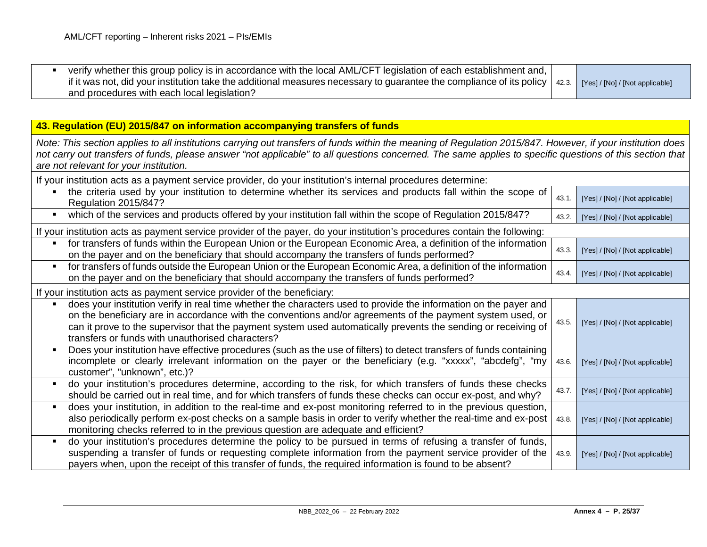| verify whether this group policy is in accordance with the local AML/CFT legislation of each establishment and,                                                |  |
|----------------------------------------------------------------------------------------------------------------------------------------------------------------|--|
| if it was not, did your institution take the additional measures necessary to guarantee the compliance of its policy   42.3.   [Yes] / [No] / [Not applicable] |  |
| and procedures with each local legislation?                                                                                                                    |  |

### **43. Regulation (EU) 2015/847 on information accompanying transfers of funds**

*Note: This section applies to all institutions carrying out transfers of funds within the meaning of Regulation 2015/847. However, if your institution does not carry out transfers of funds, please answer "not applicable" to all questions concerned. The same applies to specific questions of this section that are not relevant for your institution.*

| If your institution acts as a payment service provider, do your institution's internal procedures determine:                                                                                                                                                                                                                                                                                               |       |                                 |  |
|------------------------------------------------------------------------------------------------------------------------------------------------------------------------------------------------------------------------------------------------------------------------------------------------------------------------------------------------------------------------------------------------------------|-------|---------------------------------|--|
| the criteria used by your institution to determine whether its services and products fall within the scope of<br><b>Regulation 2015/847?</b>                                                                                                                                                                                                                                                               | 43.1. | [Yes] / [No] / [Not applicable] |  |
| which of the services and products offered by your institution fall within the scope of Regulation 2015/847?<br>$\blacksquare$                                                                                                                                                                                                                                                                             | 43.2. | [Yes] / [No] / [Not applicable] |  |
| If your institution acts as payment service provider of the payer, do your institution's procedures contain the following:                                                                                                                                                                                                                                                                                 |       |                                 |  |
| for transfers of funds within the European Union or the European Economic Area, a definition of the information<br>$\blacksquare$<br>on the payer and on the beneficiary that should accompany the transfers of funds performed?                                                                                                                                                                           | 43.3. | [Yes] / [No] / [Not applicable] |  |
| for transfers of funds outside the European Union or the European Economic Area, a definition of the information<br>$\blacksquare$<br>on the payer and on the beneficiary that should accompany the transfers of funds performed?                                                                                                                                                                          | 43.4. | [Yes] / [No] / [Not applicable] |  |
| If your institution acts as payment service provider of the beneficiary:                                                                                                                                                                                                                                                                                                                                   |       |                                 |  |
| does your institution verify in real time whether the characters used to provide the information on the payer and<br>٠<br>on the beneficiary are in accordance with the conventions and/or agreements of the payment system used, or<br>can it prove to the supervisor that the payment system used automatically prevents the sending or receiving of<br>transfers or funds with unauthorised characters? | 43.5. | [Yes] / [No] / [Not applicable] |  |
| Does your institution have effective procedures (such as the use of filters) to detect transfers of funds containing<br>$\blacksquare$<br>incomplete or clearly irrelevant information on the payer or the beneficiary (e.g. "xxxxx", "abcdefg", "my<br>customer", "unknown", etc.)?                                                                                                                       | 43.6. | [Yes] / [No] / [Not applicable] |  |
| do your institution's procedures determine, according to the risk, for which transfers of funds these checks<br>$\blacksquare$<br>should be carried out in real time, and for which transfers of funds these checks can occur ex-post, and why?                                                                                                                                                            | 43.7. | [Yes] / [No] / [Not applicable] |  |
| does your institution, in addition to the real-time and ex-post monitoring referred to in the previous question,<br>$\blacksquare$<br>also periodically perform ex-post checks on a sample basis in order to verify whether the real-time and ex-post<br>monitoring checks referred to in the previous question are adequate and efficient?                                                                | 43.8. | [Yes] / [No] / [Not applicable] |  |
| do your institution's procedures determine the policy to be pursued in terms of refusing a transfer of funds,<br>$\blacksquare$<br>suspending a transfer of funds or requesting complete information from the payment service provider of the<br>payers when, upon the receipt of this transfer of funds, the required information is found to be absent?                                                  | 43.9. | [Yes] / [No] / [Not applicable] |  |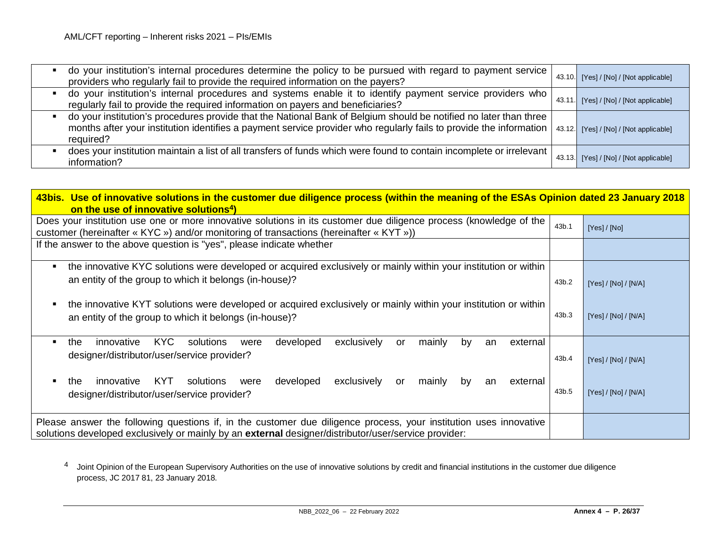<span id="page-25-0"></span>

| do your institution's internal procedures determine the policy to be pursued with regard to payment service<br>providers who regularly fail to provide the required information on the payers?                                                                | 43.10.  | [Yes] / [No] / [Not applicable] |
|---------------------------------------------------------------------------------------------------------------------------------------------------------------------------------------------------------------------------------------------------------------|---------|---------------------------------|
| do your institution's internal procedures and systems enable it to identify payment service providers who<br>regularly fail to provide the required information on payers and beneficiaries?                                                                  | 43.11   | [Yes] / [No] / [Not applicable] |
| do your institution's procedures provide that the National Bank of Belgium should be notified no later than three<br>months after your institution identifies a payment service provider who regularly fails to provide the information   43.12.<br>required? |         | [Yes] / [No] / [Not applicable] |
| does your institution maintain a list of all transfers of funds which were found to contain incomplete or irrelevant  <br>information?                                                                                                                        | 43.13.I | [Yes] / [No] / [Not applicable] |

| 43bis. Use of innovative solutions in the customer due diligence process (within the meaning of the ESAs Opinion dated 23 January 2018<br>on the use of innovative solutions <sup>4</sup> )                               |       |                      |  |
|---------------------------------------------------------------------------------------------------------------------------------------------------------------------------------------------------------------------------|-------|----------------------|--|
| Does your institution use one or more innovative solutions in its customer due diligence process (knowledge of the<br>customer (hereinafter « KYC ») and/or monitoring of transactions (hereinafter « KYT »))             | 43b.1 | [Yes]/[No]           |  |
| If the answer to the above question is "yes", please indicate whether                                                                                                                                                     |       |                      |  |
| the innovative KYC solutions were developed or acquired exclusively or mainly within your institution or within<br>an entity of the group to which it belongs (in-house)?                                                 | 43b.2 | [Yes] / [No] / [N/A] |  |
| the innovative KYT solutions were developed or acquired exclusively or mainly within your institution or within<br>an entity of the group to which it belongs (in-house)?                                                 | 43b.3 | [Yes]/[No]/[N/A]     |  |
| KYC<br>developed<br>exclusively<br>innovative<br>mainly<br>solutions<br>external<br>the<br>by<br>were<br>or<br>an<br>designer/distributor/user/service provider?                                                          | 43b.4 | [Yes] / [No] / [N/A] |  |
| developed<br>exclusively<br>innovative<br>KYT.<br>solutions<br>external<br>mainly<br>the<br>were<br>or<br>by<br>an<br>designer/distributor/user/service provider?                                                         | 43b.5 | [Yes]/[No]/[N/A]     |  |
| Please answer the following questions if, in the customer due diligence process, your institution uses innovative<br>solutions developed exclusively or mainly by an external designer/distributor/user/service provider: |       |                      |  |

4 Joint Opinion of the European Supervisory Authorities on the use of innovative solutions by credit and financial institutions in the customer due diligence process, JC 2017 81, 23 January 2018.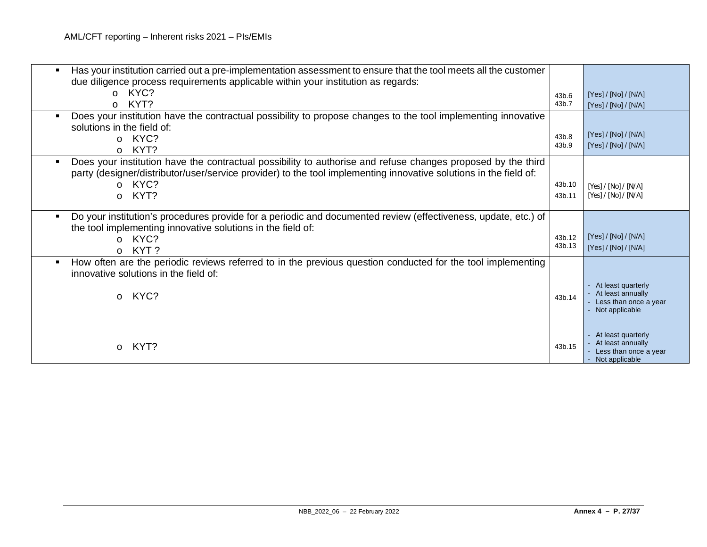| Has your institution carried out a pre-implementation assessment to ensure that the tool meets all the customer<br>due diligence process requirements applicable within your institution as regards:<br>o KYC?<br>KYT?<br>$\circ$                                        | 43b.6<br>43b.7   | [Yes] / [No] / [N/A]<br>[Yes] / [No] / [N/A]                                       |
|--------------------------------------------------------------------------------------------------------------------------------------------------------------------------------------------------------------------------------------------------------------------------|------------------|------------------------------------------------------------------------------------|
| Does your institution have the contractual possibility to propose changes to the tool implementing innovative<br>solutions in the field of:<br>KYC?<br>$\circ$<br>KYT?<br>$\Omega$                                                                                       | 43b.8<br>43b.9   | [Yes] / [No] / [N/A]<br>[Yes] / [No] / [N/A]                                       |
| Does your institution have the contractual possibility to authorise and refuse changes proposed by the third<br>party (designer/distributor/user/service provider) to the tool implementing innovative solutions in the field of:<br>KYC?<br>$\Omega$<br>KYT?<br>$\circ$ | 43b.10<br>43b.11 | [Yes] / [No] / [N/A]<br>[Yes] / [No] / [N/A]                                       |
| Do your institution's procedures provide for a periodic and documented review (effectiveness, update, etc.) of<br>٠<br>the tool implementing innovative solutions in the field of:<br>KYC?<br>$\Omega$<br>KYT?<br>$\circ$                                                | 43b.12<br>43b.13 | [Yes] / [No] / [N/A]<br>[Yes] / [No] / [N/A]                                       |
| How often are the periodic reviews referred to in the previous question conducted for the tool implementing<br>٠<br>innovative solutions in the field of:<br>KYC?<br>$\circ$                                                                                             | 43b.14           | At least quarterly<br>At least annually<br>Less than once a year<br>Not applicable |
| KYT?                                                                                                                                                                                                                                                                     | 43b.15           | At least quarterly<br>At least annually<br>Less than once a year<br>Not applicable |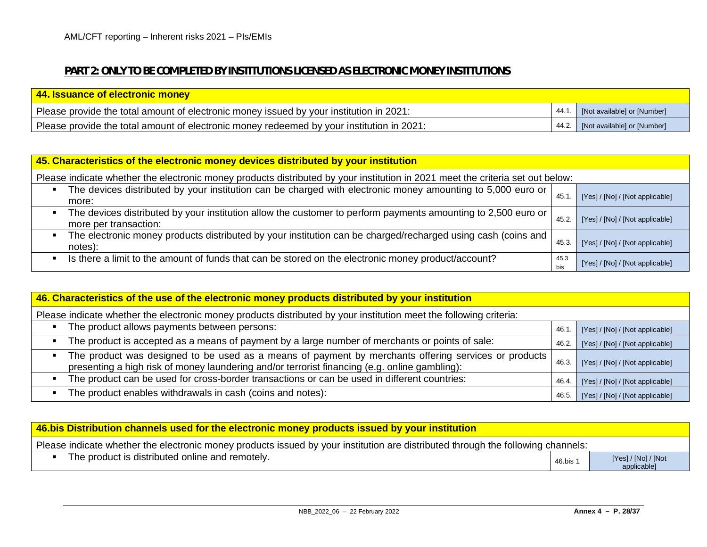# **PART 2: ONLY TO BE COMPLETED BY INSTITUTIONS LICENSED AS ELECTRONIC MONEY INSTITUTIONS**

| 44. Issuance of electronic money                                                          |                                   |
|-------------------------------------------------------------------------------------------|-----------------------------------|
| Please provide the total amount of electronic money issued by your institution in 2021:   | 44.1. [Not available] or [Number] |
| Please provide the total amount of electronic money redeemed by your institution in 2021: | 44.2. [Not available] or [Number] |

| 45. Characteristics of the electronic money devices distributed by your institution                                                    |             |                                 |  |
|----------------------------------------------------------------------------------------------------------------------------------------|-------------|---------------------------------|--|
| Please indicate whether the electronic money products distributed by your institution in 2021 meet the criteria set out below:         |             |                                 |  |
| The devices distributed by your institution can be charged with electronic money amounting to 5,000 euro or<br>more:                   | 45.1        | [Yes] / [No] / [Not applicable] |  |
| The devices distributed by your institution allow the customer to perform payments amounting to 2,500 euro or<br>more per transaction: | 45.2.       | [Yes] / [No] / [Not applicable] |  |
| The electronic money products distributed by your institution can be charged/recharged using cash (coins and )<br>notes):              | 45.3.       | [Yes] / [No] / [Not applicable] |  |
| Is there a limit to the amount of funds that can be stored on the electronic money product/account?                                    | 45.3<br>bis | [Yes] / [No] / [Not applicable] |  |

| 46. Characteristics of the use of the electronic money products distributed by your institution                                                                                                       |       |                                 |  |
|-------------------------------------------------------------------------------------------------------------------------------------------------------------------------------------------------------|-------|---------------------------------|--|
| Please indicate whether the electronic money products distributed by your institution meet the following criteria:                                                                                    |       |                                 |  |
| The product allows payments between persons:                                                                                                                                                          | 46.1. | [Yes] / [No] / [Not applicable] |  |
| The product is accepted as a means of payment by a large number of merchants or points of sale:                                                                                                       | 46.2. | [Yes] / [No] / [Not applicable] |  |
| The product was designed to be used as a means of payment by merchants offering services or products<br>presenting a high risk of money laundering and/or terrorist financing (e.g. online gambling): | 46.3. | [Yes] / [No] / [Not applicable] |  |
| The product can be used for cross-border transactions or can be used in different countries:                                                                                                          | 46.4  | [Yes] / [No] / [Not applicable] |  |
| The product enables withdrawals in cash (coins and notes):                                                                                                                                            | 46.5. | [Yes] / [No] / [Not applicable] |  |

| 46.bis Distribution channels used for the electronic money products issued by your institution                                   |                     |                                    |
|----------------------------------------------------------------------------------------------------------------------------------|---------------------|------------------------------------|
| Please indicate whether the electronic money products issued by your institution are distributed through the following channels: |                     |                                    |
| The product is distributed online and remotely.                                                                                  | 46.bis <sup>-</sup> | [Yes] / [No] / [Not<br>applicable] |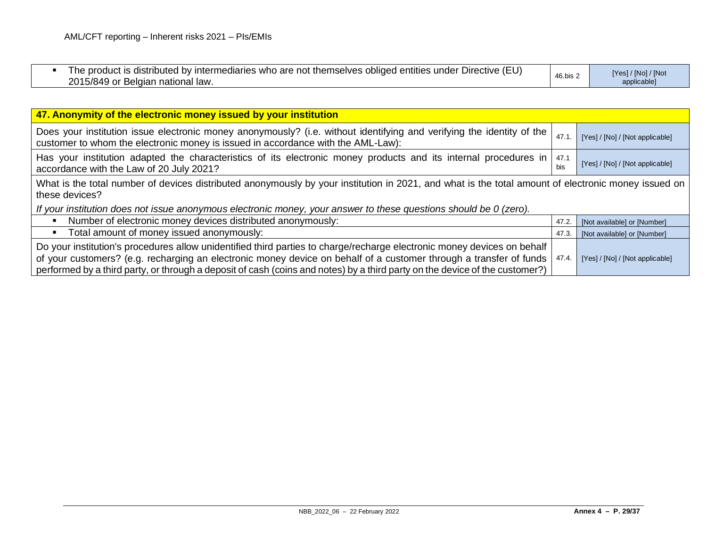| The product is distributed by intermediaries who are not themselves obliged entities under Directive (EU)<br>2015/849 or<br>r Belgian national law.<br>$\sim$ r | 46.bis 2 | [Yes] / [No] / [Not<br>applicable] |
|-----------------------------------------------------------------------------------------------------------------------------------------------------------------|----------|------------------------------------|
|-----------------------------------------------------------------------------------------------------------------------------------------------------------------|----------|------------------------------------|

| 47. Anonymity of the electronic money issued by your institution                                                                                                                                                                                                                                                                                                             |             |                                 |
|------------------------------------------------------------------------------------------------------------------------------------------------------------------------------------------------------------------------------------------------------------------------------------------------------------------------------------------------------------------------------|-------------|---------------------------------|
| Does your institution issue electronic money anonymously? (i.e. without identifying and verifying the identity of the<br>customer to whom the electronic money is issued in accordance with the AML-Law):                                                                                                                                                                    | 47.1        | [Yes] / [No] / [Not applicable] |
| Has your institution adapted the characteristics of its electronic money products and its internal procedures in<br>accordance with the Law of 20 July 2021?                                                                                                                                                                                                                 | 47.1<br>bis | [Yes] / [No] / [Not applicable] |
| What is the total number of devices distributed anonymously by your institution in 2021, and what is the total amount of electronic money issued on<br>these devices?                                                                                                                                                                                                        |             |                                 |
| If your institution does not issue anonymous electronic money, your answer to these questions should be 0 (zero).                                                                                                                                                                                                                                                            |             |                                 |
| Number of electronic money devices distributed anonymously:                                                                                                                                                                                                                                                                                                                  | 47.2.       | [Not available] or [Number]     |
| Total amount of money issued anonymously:                                                                                                                                                                                                                                                                                                                                    | 47.3.       | [Not available] or [Number]     |
| Do your institution's procedures allow unidentified third parties to charge/recharge electronic money devices on behalf<br>of your customers? (e.g. recharging an electronic money device on behalf of a customer through a transfer of funds<br>performed by a third party, or through a deposit of cash (coins and notes) by a third party on the device of the customer?) | 47.4.       | [Yes] / [No] / [Not applicable] |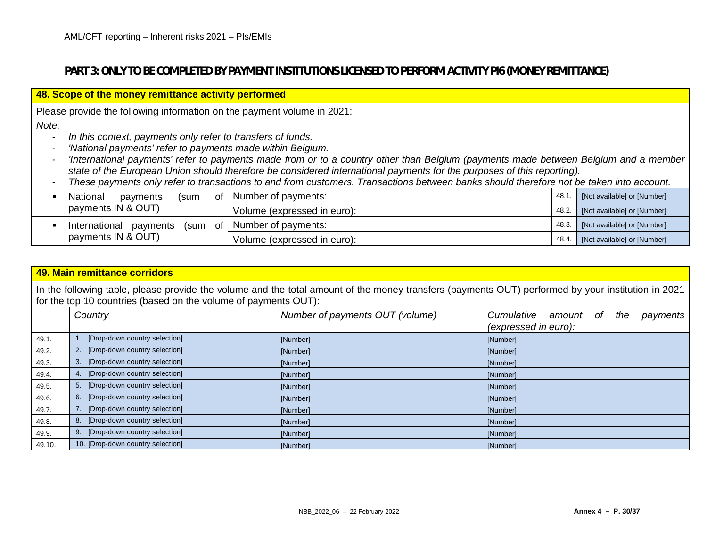# **PART 3: ONLY TO BE COMPLETED BY PAYMENT INSTITUTIONS LICENSED TO PERFORM ACTIVITY PI6 (MONEY REMITTANCE)**

|                                                                                         | 48. Scope of the money remittance activity performed                                                                                    |       |                             |  |  |  |  |  |
|-----------------------------------------------------------------------------------------|-----------------------------------------------------------------------------------------------------------------------------------------|-------|-----------------------------|--|--|--|--|--|
| Please provide the following information on the payment volume in 2021:                 |                                                                                                                                         |       |                             |  |  |  |  |  |
| Note:                                                                                   |                                                                                                                                         |       |                             |  |  |  |  |  |
| In this context, payments only refer to transfers of funds.<br>$\overline{\phantom{a}}$ |                                                                                                                                         |       |                             |  |  |  |  |  |
| 'National payments' refer to payments made within Belgium.<br>$\blacksquare$            |                                                                                                                                         |       |                             |  |  |  |  |  |
| $\overline{\phantom{0}}$                                                                | 'International payments' refer to payments made from or to a country other than Belgium (payments made between Belgium and a member     |       |                             |  |  |  |  |  |
|                                                                                         | state of the European Union should therefore be considered international payments for the purposes of this reporting).                  |       |                             |  |  |  |  |  |
|                                                                                         | These payments only refer to transactions to and from customers. Transactions between banks should therefore not be taken into account. |       |                             |  |  |  |  |  |
| National<br>οf<br>payments<br>(sum                                                      | Number of payments:                                                                                                                     | 48.1  | [Not available] or [Number] |  |  |  |  |  |
| payments IN & OUT)                                                                      | Volume (expressed in euro):<br>[Not available] or [Number]<br>48.2.                                                                     |       |                             |  |  |  |  |  |
| of<br>International<br>payments<br>(sum                                                 | Number of payments:                                                                                                                     | 48.3. | [Not available] or [Number] |  |  |  |  |  |
| payments IN & OUT)                                                                      | Volume (expressed in euro):                                                                                                             | 48.4. | [Not available] or [Number] |  |  |  |  |  |

|                                                                                                                                                                                                                       | 49. Main remittance corridors                         |                                 |                                                                         |  |  |  |  |  |  |  |
|-----------------------------------------------------------------------------------------------------------------------------------------------------------------------------------------------------------------------|-------------------------------------------------------|---------------------------------|-------------------------------------------------------------------------|--|--|--|--|--|--|--|
| In the following table, please provide the volume and the total amount of the money transfers (payments OUT) performed by your institution in 2021<br>for the top 10 countries (based on the volume of payments OUT): |                                                       |                                 |                                                                         |  |  |  |  |  |  |  |
|                                                                                                                                                                                                                       | Country                                               | Number of payments OUT (volume) | Cumulative<br>amount<br>- of<br>the<br>payments<br>(expressed in euro): |  |  |  |  |  |  |  |
| 49.1.                                                                                                                                                                                                                 | [Drop-down country selection]                         | [Number]                        | [Number]                                                                |  |  |  |  |  |  |  |
| 49.2.                                                                                                                                                                                                                 | [Drop-down country selection]                         | [Number]                        | [Number]                                                                |  |  |  |  |  |  |  |
| 49.3.                                                                                                                                                                                                                 | [Drop-down country selection]<br>[Number]<br>[Number] |                                 |                                                                         |  |  |  |  |  |  |  |
| 49.4.                                                                                                                                                                                                                 | 4. [Drop-down country selection]                      | [Number]                        | [Number]                                                                |  |  |  |  |  |  |  |
| 49.5.                                                                                                                                                                                                                 | 5. [Drop-down country selection]                      | [Number]                        | [Number]                                                                |  |  |  |  |  |  |  |
| 49.6.                                                                                                                                                                                                                 | 6. [Drop-down country selection]                      | [Number]                        | [Number]                                                                |  |  |  |  |  |  |  |
| 49.7.                                                                                                                                                                                                                 | [Drop-down country selection]                         | [Number]                        | [Number]                                                                |  |  |  |  |  |  |  |
| 49.8.                                                                                                                                                                                                                 | [Drop-down country selection]<br>8.                   | [Number]                        | [Number]                                                                |  |  |  |  |  |  |  |
| 49.9.                                                                                                                                                                                                                 | 9. [Drop-down country selection]                      | [Number]                        | [Number]                                                                |  |  |  |  |  |  |  |
| 49.10.                                                                                                                                                                                                                | 10. [Drop-down country selection]                     | [Number]                        | [Number]                                                                |  |  |  |  |  |  |  |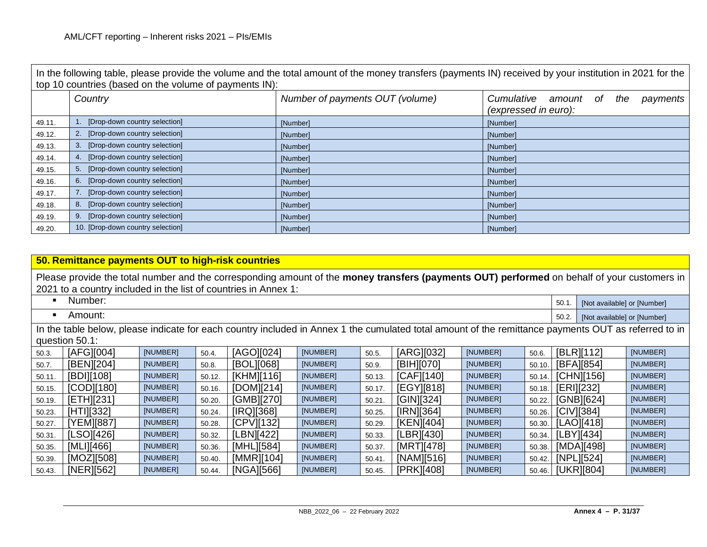In the following table, please provide the volume and the total amount of the money transfers (payments IN) received by your institution in 2021 for the top 10 countries (based on the volume of payments IN): *Country Number of payments OUT (volume) Cumulative amount of the payments (expressed in euro):* 49.11. 1. [Drop-down country selection] [Number] [Number] [Number] [Number] [Number] [Number] 49.12. 2. [Drop-down country selection] [Number] [Number] [Number] [Number] 2. [Drop-down country selection] 49.13. 3. [Drop-down country selection] [Number] [Number] [Number] [Number] [Number] 49.14. A Drop-down country selection] **[Number]** [Number] **[Number]** [Number] **[Number]** [Number] 49.15. 5. [Drop-down country selection] [Number] [Number] [Number] [Number] [Number] 49.16. 6. [Drop-down country selection] [Number] [Number] [Number] [Number] 49.17. 7. [Drop-down country selection] [Number] [Number] [Number] [Number] [Number] 49.18. 8. [Drop-down country selection] [Number] [Number] [Number] [Number] [Number] 49.19. 9. [Drop-down country selection] [Number] [Number] [Number] [Number] [Number] 49.20. 10. [Drop-down country selection] [Number] [Number] [Number] [Number] [Number]

|        | 50. Remittance payments OUT to high-risk countries                                                                                                                                                             |          |        |            |          |        |            |          |        |       |                             |          |
|--------|----------------------------------------------------------------------------------------------------------------------------------------------------------------------------------------------------------------|----------|--------|------------|----------|--------|------------|----------|--------|-------|-----------------------------|----------|
|        | Please provide the total number and the corresponding amount of the money transfers (payments OUT) performed on behalf of your customers in<br>2021 to a country included in the list of countries in Annex 1: |          |        |            |          |        |            |          |        |       |                             |          |
|        | Number:                                                                                                                                                                                                        |          |        |            |          |        |            |          |        | 50.1  | [Not available] or [Number] |          |
|        | Amount:                                                                                                                                                                                                        |          |        |            |          |        |            |          |        | 50.2. | [Not available] or [Number] |          |
|        | In the table below, please indicate for each country included in Annex 1 the cumulated total amount of the remittance payments OUT as referred to in<br>question 50.1:                                         |          |        |            |          |        |            |          |        |       |                             |          |
| 50.3.  | [AFG][004]                                                                                                                                                                                                     | [NUMBER] | 50.4.  | [AGO][024] | [NUMBER] | 50.5.  | [ARG][032] | [NUMBER] | 50.6.  |       | [BLR][112]                  | [NUMBER] |
| 50.7.  | [BEN][204]                                                                                                                                                                                                     | [NUMBER] | 50.8.  | [BOL][068] | [NUMBER] | 50.9.  | [BIH][070] | [NUMBER] | 50.10. |       | [BFA][854]                  | [NUMBER] |
| 50.11  | [BDI][108]                                                                                                                                                                                                     | [NUMBER] | 50.12. | [KHM][116] | [NUMBER] | 50.13. | [CAF][140] | [NUMBER] | 50.14. |       | [CHN][156]                  | [NUMBER] |
| 50.15. | [COD][180]                                                                                                                                                                                                     | [NUMBER] | 50.16. | [DOM][214] | [NUMBER] | 50.17. | [EGY][818] | [NUMBER] | 50.18. |       | [ERI][232]                  | [NUMBER] |
| 50.19. | [ETH][231]                                                                                                                                                                                                     | [NUMBER] | 50.20. | [GMB][270] | [NUMBER] | 50.21. | [GIN][324] | [NUMBER] | 50.22. |       | [GNB][624]                  | [NUMBER] |
| 50.23. | [HTI][332]                                                                                                                                                                                                     | [NUMBER] | 50.24. | [IRQ][368] | [NUMBER] | 50.25. | [IRN][364] | [NUMBER] | 50.26. |       | $ICIV$ ][384]               | [NUMBER] |
| 50.27. | [YEM][887]                                                                                                                                                                                                     | [NUMBER] | 50.28. | [CPV][132] | [NUMBER] | 50.29. | [KEN][404] | [NUMBER] | 50.30. |       | [LAO][418]                  | [NUMBER] |
| 50.31. | [LSO][426]                                                                                                                                                                                                     | [NUMBER] | 50.32. | [LBN][422] | [NUMBER] | 50.33. | [LER][430] | [NUMBER] | 50.34. |       | [LBY][434]                  | [NUMBER] |
| 50.35. | [MLI][466]                                                                                                                                                                                                     | [NUMBER] | 50.36. | [MHL][584] | [NUMBER] | 50.37  | [MRT][478] | [NUMBER] | 50.38. |       | [MDA][498]                  | [NUMBER] |
| 50.39. | [MOZ][508]                                                                                                                                                                                                     | [NUMBER] | 50.40. | [MMR][104] | [NUMBER] | 50.41. | [NAM][516] | [NUMBER] | 50.42. |       | [NPL][524]                  | [NUMBER] |
| 50.43. | [NER][562]                                                                                                                                                                                                     | [NUMBER] | 50.44. | [NGA][566] | [NUMBER] | 50.45. | [PRK][408] | [NUMBER] | 50.46. |       | [UKR][804]                  | [NUMBER] |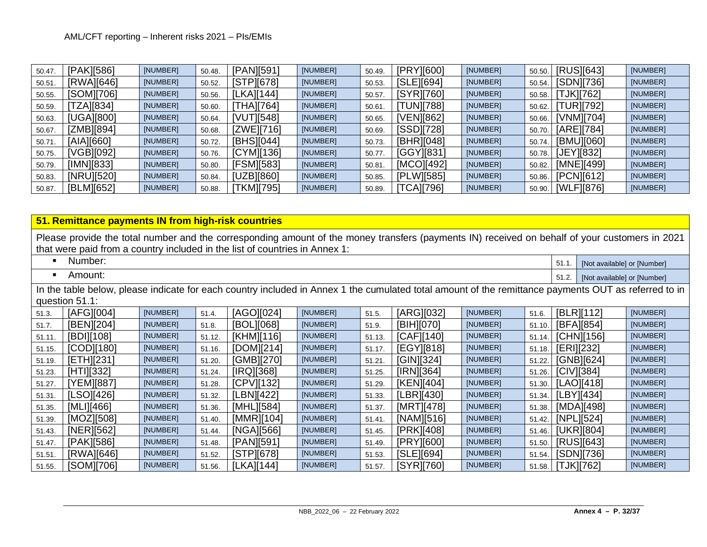| 50.47. | [PAK][586] | [NUMBER] | 50.48. | [PAN][591] | [NUMBER] | 50.49  | [PRY][600]       | [NUMBER] | 50.50. | [RUS][643]       | [NUMBER] |
|--------|------------|----------|--------|------------|----------|--------|------------------|----------|--------|------------------|----------|
| 50.51  | [RWA][646] | [NUMBER] | 50.52. | [STPI[678] | [NUMBER] | 50.53. | [SLE][694]       | [NUMBER] | 50.54. | [SDN][736]       | [NUMBER] |
| 50.55. | [SOM][706] | [NUMBER] | 50.56. | [LKA][144] | [NUMBER] | 50.57  | [SYR][760]       | [NUMBER] | 50.58. | <b>TJK17621</b>  | [NUMBER] |
| 50.59. | [ZA][834]  | [NUMBER] | 50.60. | [THA][764] | [NUMBER] | 50.61  | <b>TUN][788]</b> | [NUMBER] | 50.62. | <b>TUR][792]</b> | [NUMBER] |
| 50.63. | [UGA][800] | [NUMBER] | 50.64. | [VUT][548] | [NUMBER] | 50.65  | [VEN][862]       | [NUMBER] | 50.66. | [VNM][704]       | [NUMBER] |
| 50.67. | [ZMB][894] | [NUMBER] | 50.68. | [ZWE][716] | [NUMBER] | 50.69. | [SSD][728]       | [NUMBER] | 50.70. | [ARE][784]       | [NUMBER] |
| 50.71. | [AIA][660] | [NUMBER] | 50.72. | [BHS][044] | [NUMBER] | 50.73. | [BHR][048]       | [NUMBER] | 50.74. | [BMU][060]       | [NUMBER] |
| 50.75. | [VGB][092] | [NUMBER] | 50.76. | [CYM][136] | [NUMBER] | 50.77  | [GGY][831]       | [NUMBER] | 50.78. | [JEY][832]       | [NUMBER] |
| 50.79. | [IMN][833] | [NUMBER] | 50.80. | [FSM][583] | [NUMBER] | 50.81  | [MCO][492]       | [NUMBER] | 50.82. | [MNE][499]       | [NUMBER] |
| 50.83. | [NRU][520] | [NUMBER] | 50.84. | [UZB][860] | [NUMBER] | 50.85. | [PLW][585]       | [NUMBER] | 50.86. | [PCN][612]       | [NUMBER] |
| 50.87. | [BLM][652] | [NUMBER] | 50.88. | [TKM][795] | [NUMBER] | 50.89. | [TCA][796]       | [NUMBER] | 50.90. | [WLF][876]       | [NUMBER] |

|  |  | 51. Remittance payments IN from high-risk countries |
|--|--|-----------------------------------------------------|
|--|--|-----------------------------------------------------|

|                | <u>91. Remittance payments in Hom myn Hok countries</u>                                                                                                                                                                       |          |        |            |          |        |            |          |        |                   |                             |          |
|----------------|-------------------------------------------------------------------------------------------------------------------------------------------------------------------------------------------------------------------------------|----------|--------|------------|----------|--------|------------|----------|--------|-------------------|-----------------------------|----------|
|                | Please provide the total number and the corresponding amount of the money transfers (payments IN) received on behalf of your customers in 2021<br>that were paid from a country included in the list of countries in Annex 1: |          |        |            |          |        |            |          |        |                   |                             |          |
| ٠              | Number:<br>51.1.<br>[Not available] or [Number]                                                                                                                                                                               |          |        |            |          |        |            |          |        |                   |                             |          |
| $\blacksquare$ | Amount:                                                                                                                                                                                                                       |          |        |            |          |        |            |          |        | 51.2.             | [Not available] or [Number] |          |
|                | In the table below, please indicate for each country included in Annex 1 the cumulated total amount of the remittance payments OUT as referred to in                                                                          |          |        |            |          |        |            |          |        |                   |                             |          |
|                | question 51.1:                                                                                                                                                                                                                |          |        |            |          |        |            |          |        |                   |                             |          |
| 51.3.          | [AFG][004]                                                                                                                                                                                                                    | [NUMBER] | 51.4.  | [AGO][024] | [NUMBER] | 51.5.  | [ARG][032] | [NUMBER] | 51.6.  |                   | [BLR][112]                  | [NUMBER] |
| 51.7.          | [BEN][204]                                                                                                                                                                                                                    | [NUMBER] | 51.8.  | [BOL][068] | [NUMBER] | 51.9.  | [BIH][070] | [NUMBER] | 51.10. |                   | [BFA][854]                  | [NUMBER] |
| 51.11.         | [BDI][108]                                                                                                                                                                                                                    | [NUMBER] | 51.12. | [KHM][116] | [NUMBER] | 51.13. | [CAF][140] | [NUMBER] | 51.14. |                   | [CHN][156]                  | [NUMBER] |
| 51.15.         | [COD][180]                                                                                                                                                                                                                    | [NUMBER] | 51.16. | [DOM][214] | [NUMBER] | 51.17. | [EGY][818] | [NUMBER] | 51.18. |                   | [ERI][232]                  | [NUMBER] |
| 51.19.         | [ETH][231]                                                                                                                                                                                                                    | [NUMBER] | 51.20. | [GMB][270] | [NUMBER] | 51.21. | [GIN][324] | [NUMBER] | 51.22. |                   | [GNB][624]                  | [NUMBER] |
| 51.23.         | $[HT11]$ $332]$                                                                                                                                                                                                               | [NUMBER] | 51.24. | [IRQ][368] | [NUMBER] | 51.25. | [IRN][364] | [NUMBER] | 51.26. |                   | [CIV][384]                  | [NUMBER] |
| 51.27.         | [YEM][887]                                                                                                                                                                                                                    | [NUMBER] | 51.28. | [CPV][132] | [NUMBER] | 51.29. | [KEN][404] | [NUMBER] | 51.30. |                   | [LAO][418]                  | [NUMBER] |
| 51.31.         | [LSO][426]                                                                                                                                                                                                                    | [NUMBER] | 51.32. | LBN][422]  | [NUMBER] | 51.33. | [LBR][430] | [NUMBER] | 51.34. |                   | [LBY][434]                  | [NUMBER] |
| 51.35.         | [MLI][466]                                                                                                                                                                                                                    | [NUMBER] | 51.36. | [MHL][584] | [NUMBER] | 51.37. | [MRT][478] | [NUMBER] | 51.38. |                   | [MDA][498]                  | [NUMBER] |
| 51.39.         | [MOZ][508]                                                                                                                                                                                                                    | [NUMBER] | 51.40. | [MMR][104] | [NUMBER] | 51.41. | [NAM][516] | [NUMBER] | 51.42. |                   | [NPL][524]                  | [NUMBER] |
| 51.43.         | [NER][562]                                                                                                                                                                                                                    | [NUMBER] | 51.44. | [NGA][566] | [NUMBER] | 51.45. | [PRK][408] | [NUMBER] | 51.46. |                   | [UKR][804]                  | [NUMBER] |
| 51.47.         | [PAK][586]                                                                                                                                                                                                                    | [NUMBER] | 51.48. | [PAN][591] | [NUMBER] | 51.49. | [PRY][600] | [NUMBER] | 51.50. |                   | [RUS][643]                  | [NUMBER] |
| 51.51.         | [RWA][646]                                                                                                                                                                                                                    | [NUMBER] | 51.52. | [STP][678] | [NUMBER] | 51.53. | [SLE][694] | [NUMBER] | 51.54. |                   | [SDN][736]                  | [NUMBER] |
| 51.55.         | [SOM][706]                                                                                                                                                                                                                    | [NUMBER] | 51.56. | [LKA][144] | [NUMBER] | 51.57. | [SYR][760] | [NUMBER] |        | 51.58. [TJK][762] |                             | [NUMBER] |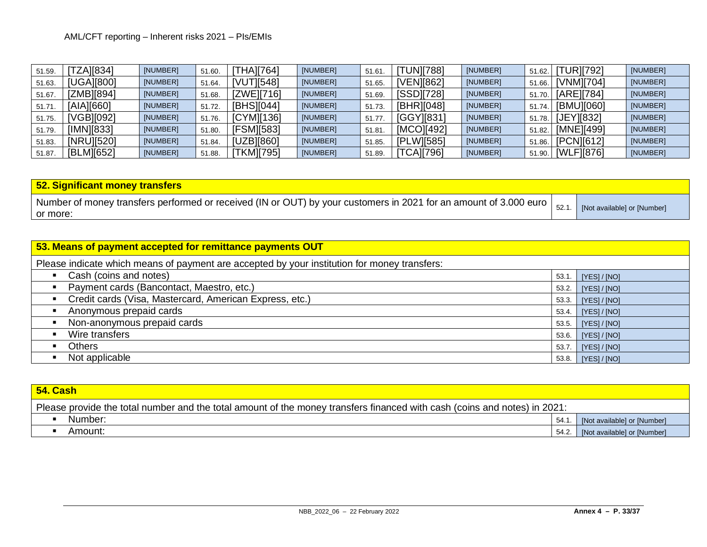| 51.59. | <b>TZA1[834]</b> | [NUMBER] | 51.60. | [THA][764] | [NUMBER] | 51.61  | <b>[TUN][788]</b> | [NUMBER] |       | 51.62. [TUR][792] | [NUMBER] |
|--------|------------------|----------|--------|------------|----------|--------|-------------------|----------|-------|-------------------|----------|
| 51.63. | [UGA][800]       | [NUMBER] | 51.64. | [VUT][548] | [NUMBER] | 51.65. | [VEN][862]        | [NUMBER] |       | 51.66. [VNM][704] | [NUMBER] |
| 51.67. | [ZMB][894]       | [NUMBER] | 51.68. | [ZWE][716] | [NUMBER] | 51.69. | [SSD][728]        | [NUMBER] |       | 51.70. [ARE][784] | [NUMBER] |
| 51.71. | [AIA][660]       | [NUMBER] | 51.72. | [BHS][044] | [NUMBER] | 51.73. | [BHR][048]        | [NUMBER] | 51.74 | [BMU][060]        | [NUMBER] |
| 51.75. | [VGB][092]       | [NUMBER] | 51.76. | [CYM][136] | [NUMBER] | 51.77  | [GGY][831]        | [NUMBER] |       | 51.78. [JEY][832] | [NUMBER] |
| 51.79. | [IMN][833]       | [NUMBER] | 51.80. | [FSM][583] | [NUMBER] | 51.81  | [MCO][492]        | [NUMBER] |       | 51.82. [MNE][499] | [NUMBER] |
| 51.83. | [NRU][520]       | [NUMBER] | 51.84. | [UZB][860] | [NUMBER] | 51.85. | [PLW][585]        | [NUMBER] |       | 51.86. [PCN][612] | [NUMBER] |
| 51.87. | [BLM][652]       | [NUMBER] | 51.88. | [TKM][795] | [NUMBER] | 51.89. | [TCA][796]        | [NUMBER] |       | 51.90. [WLF][876] | [NUMBER] |

| 52. Significant money transfers                                                                                   |      |                             |
|-------------------------------------------------------------------------------------------------------------------|------|-----------------------------|
| Number of money transfers performed or received (IN or OUT) by your customers in 2021 for an amount of 3.000 euro | 52.7 | [Not available] or [Number] |
| I or more:                                                                                                        |      |                             |

| 53. Means of payment accepted for remittance payments OUT                                    |                     |              |  |  |  |  |  |  |  |
|----------------------------------------------------------------------------------------------|---------------------|--------------|--|--|--|--|--|--|--|
| Please indicate which means of payment are accepted by your institution for money transfers: |                     |              |  |  |  |  |  |  |  |
| Cash (coins and notes)<br>$\blacksquare$<br>53.1.<br>[YES] / [NO]                            |                     |              |  |  |  |  |  |  |  |
| Payment cards (Bancontact, Maestro, etc.)                                                    | 53.2.               | [YES]/[NO]   |  |  |  |  |  |  |  |
| Credit cards (Visa, Mastercard, American Express, etc.)<br>$\blacksquare$                    | 53.3.               | [YES]/[NO]   |  |  |  |  |  |  |  |
| Anonymous prepaid cards                                                                      | 53.4.               | [YES]/[NO]   |  |  |  |  |  |  |  |
| Non-anonymous prepaid cards<br>$\blacksquare$                                                | 53.5.               | [YES]/[NO]   |  |  |  |  |  |  |  |
| Wire transfers                                                                               | [YES]/[NO]<br>53.6. |              |  |  |  |  |  |  |  |
| Others                                                                                       | [YES]/[NO]          |              |  |  |  |  |  |  |  |
| Not applicable<br>$\blacksquare$                                                             | 53.8.               | [YES] / [NO] |  |  |  |  |  |  |  |

| 54. Cash                                                                                                                  |       |                                   |  |  |  |  |  |
|---------------------------------------------------------------------------------------------------------------------------|-------|-----------------------------------|--|--|--|--|--|
| Please provide the total number and the total amount of the money transfers financed with cash (coins and notes) in 2021: |       |                                   |  |  |  |  |  |
| Number:                                                                                                                   | 54.1. | [Not available] or [Number]       |  |  |  |  |  |
| Amount:                                                                                                                   |       | 54.2. [Not available] or [Number] |  |  |  |  |  |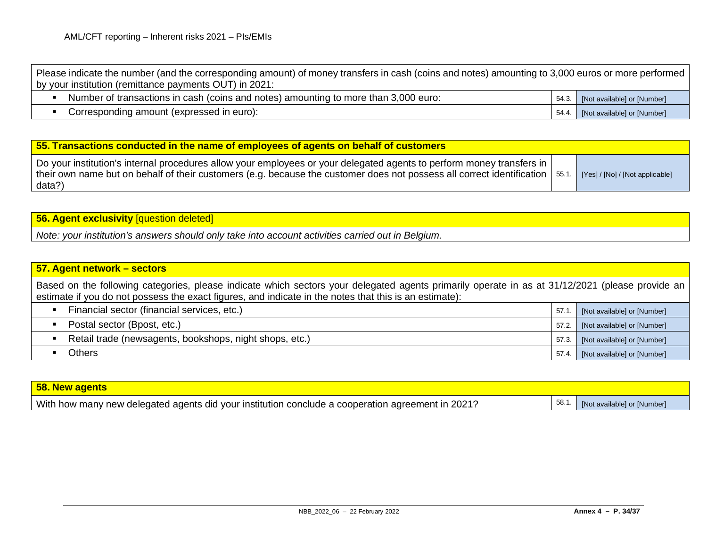| Please indicate the number (and the corresponding amount) of money transfers in cash (coins and notes) amounting to 3,000 euros or more performed<br>by your institution (remittance payments OUT) in 2021: |                                   |
|-------------------------------------------------------------------------------------------------------------------------------------------------------------------------------------------------------------|-----------------------------------|
| Number of transactions in cash (coins and notes) amounting to more than 3,000 euro:                                                                                                                         | 54.3. [Not available] or [Number] |
| Corresponding amount (expressed in euro):                                                                                                                                                                   | 54.4. [Not available] or [Number] |

| 55. Transactions conducted in the name of employees of agents on behalf of customers                                                                                                                                                                                                                    |  |  |  |  |  |  |  |
|---------------------------------------------------------------------------------------------------------------------------------------------------------------------------------------------------------------------------------------------------------------------------------------------------------|--|--|--|--|--|--|--|
| Do your institution's internal procedures allow your employees or your delegated agents to perform money transfers in<br>their own name but on behalf of their customers (e.g. because the customer does not possess all correct identification $\vert$ 55.1. [Yes] / [No] / [Not applicable]<br>data?) |  |  |  |  |  |  |  |

**56. Agent exclusivity** [question deleted]

*Note: your institution's answers should only take into account activities carried out in Belgium.*

| 57. Agent network - sectors                                                                                                                                                                                                                               |       |                             |
|-----------------------------------------------------------------------------------------------------------------------------------------------------------------------------------------------------------------------------------------------------------|-------|-----------------------------|
| Based on the following categories, please indicate which sectors your delegated agents primarily operate in as at 31/12/2021 (please provide an<br>estimate if you do not possess the exact figures, and indicate in the notes that this is an estimate): |       |                             |
| Financial sector (financial services, etc.)                                                                                                                                                                                                               | 57.1. | [Not available] or [Number] |
| Postal sector (Bpost, etc.)                                                                                                                                                                                                                               | 57.2. | [Not available] or [Number] |
| Retail trade (newsagents, bookshops, night shops, etc.)                                                                                                                                                                                                   | 57.3. | [Not available] or [Number] |
| <b>Others</b>                                                                                                                                                                                                                                             | 57.4. | [Not available] or [Number] |

| 58. New agents                                                                                    |      |                             |
|---------------------------------------------------------------------------------------------------|------|-----------------------------|
| With how many new delegated agents did your institution conclude a cooperation agreement in 2021? | 58.1 | [Not available] or [Number] |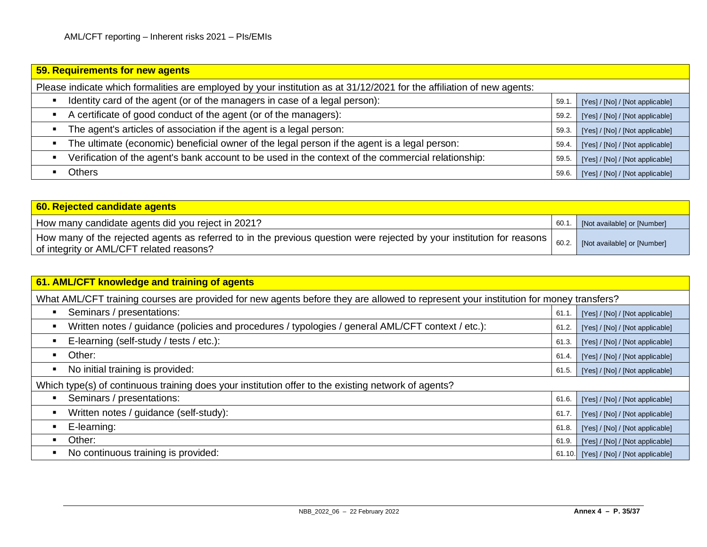| 59. Requirements for new agents                                                                                        |       |                                 |
|------------------------------------------------------------------------------------------------------------------------|-------|---------------------------------|
| Please indicate which formalities are employed by your institution as at 31/12/2021 for the affiliation of new agents: |       |                                 |
| Identity card of the agent (or of the managers in case of a legal person):                                             | 59.1  | [Yes] / [No] / [Not applicable] |
| A certificate of good conduct of the agent (or of the managers):                                                       | 59.2. | [Yes] / [No] / [Not applicable] |
| The agent's articles of association if the agent is a legal person:                                                    | 59.3. | [Yes] / [No] / [Not applicable] |
| The ultimate (economic) beneficial owner of the legal person if the agent is a legal person:                           | 59.4  | [Yes] / [No] / [Not applicable] |
| Verification of the agent's bank account to be used in the context of the commercial relationship:                     | 59.5  | [Yes] / [No] / [Not applicable] |
| Others                                                                                                                 | 59.6. | [Yes] / [No] / [Not applicable] |

| 60. Rejected candidate agents                                                                                                                                                                   |      |                             |
|-------------------------------------------------------------------------------------------------------------------------------------------------------------------------------------------------|------|-----------------------------|
| How many candidate agents did you reject in 2021?                                                                                                                                               | 60.1 | [Not available] or [Number] |
| $_1$ How many of the rejected agents as referred to in the previous question were rejected by your institution for reasons $\mid$ $_{60.2.}$ $\mid$<br>of integrity or AML/CFT related reasons? |      | [Not available] or [Number] |

| 61. AML/CFT knowledge and training of agents                                                                                         |        |                                 |
|--------------------------------------------------------------------------------------------------------------------------------------|--------|---------------------------------|
| What AML/CFT training courses are provided for new agents before they are allowed to represent your institution for money transfers? |        |                                 |
| Seminars / presentations:<br>п                                                                                                       | 61.1   | [Yes] / [No] / [Not applicable] |
| Written notes / guidance (policies and procedures / typologies / general AML/CFT context / etc.):<br>٠                               | 61.2.  | [Yes] / [No] / [Not applicable] |
| E-learning (self-study / tests / etc.):<br>п                                                                                         | 61.3.  | [Yes] / [No] / [Not applicable] |
| Other:<br>٠                                                                                                                          | 61.4.  | [Yes] / [No] / [Not applicable] |
| No initial training is provided:<br>п                                                                                                | 61.5.  | [Yes] / [No] / [Not applicable] |
| Which type(s) of continuous training does your institution offer to the existing network of agents?                                  |        |                                 |
| Seminars / presentations:<br>п                                                                                                       | 61.6.  | [Yes] / [No] / [Not applicable] |
| Written notes / guidance (self-study):<br>п                                                                                          | 61.7   | [Yes] / [No] / [Not applicable] |
| E-learning:                                                                                                                          | 61.8.  | [Yes] / [No] / [Not applicable] |
| Other:<br>٠                                                                                                                          | 61.9.  | [Yes] / [No] / [Not applicable] |
| No continuous training is provided:<br>п                                                                                             | 61.10. | [Yes] / [No] / [Not applicable] |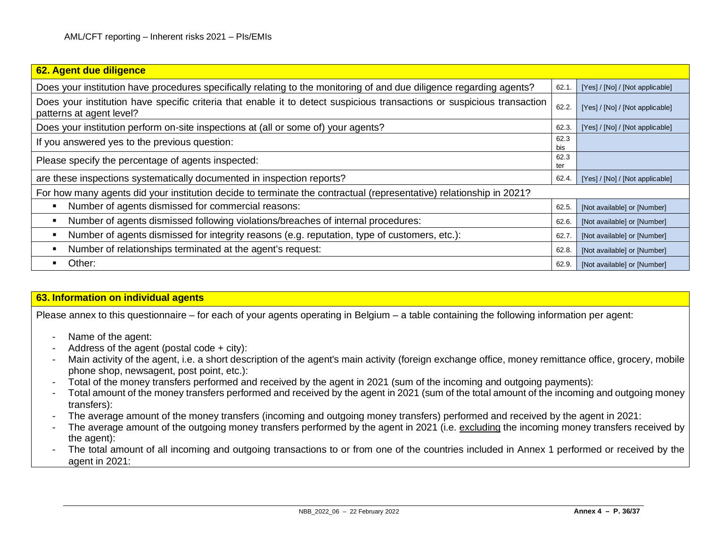| 62. Agent due diligence                                                                                                                             |              |                                 |
|-----------------------------------------------------------------------------------------------------------------------------------------------------|--------------|---------------------------------|
| Does your institution have procedures specifically relating to the monitoring of and due diligence regarding agents?                                | 62.1         | [Yes] / [No] / [Not applicable] |
| Does your institution have specific criteria that enable it to detect suspicious transactions or suspicious transaction<br>patterns at agent level? | 62.2.        | [Yes] / [No] / [Not applicable] |
| Does your institution perform on-site inspections at (all or some of) your agents?                                                                  | 62.3.        | [Yes] / [No] / [Not applicable] |
| If you answered yes to the previous question:                                                                                                       | 62.3<br>bis. |                                 |
| Please specify the percentage of agents inspected:                                                                                                  | 62.3<br>ter  |                                 |
| are these inspections systematically documented in inspection reports?                                                                              | 62.4.        | [Yes] / [No] / [Not applicable] |
| For how many agents did your institution decide to terminate the contractual (representative) relationship in 2021?                                 |              |                                 |
| Number of agents dismissed for commercial reasons:<br>п                                                                                             | 62.5.        | [Not available] or [Number]     |
| Number of agents dismissed following violations/breaches of internal procedures:                                                                    | 62.6.        | [Not available] or [Number]     |
| Number of agents dismissed for integrity reasons (e.g. reputation, type of customers, etc.):                                                        | 62.7         | [Not available] or [Number]     |
| Number of relationships terminated at the agent's request:                                                                                          | 62.8.        | [Not available] or [Number]     |
| Other:                                                                                                                                              | 62.9.        | [Not available] or [Number]     |

# **63. Information on individual agents**

Please annex to this questionnaire – for each of your agents operating in Belgium – a table containing the following information per agent:

- Name of the agent:
- Address of the agent (postal code + city):
- Main activity of the agent, i.e. a short description of the agent's main activity (foreign exchange office, money remittance office, grocery, mobile phone shop, newsagent, post point, etc.):
- Total of the money transfers performed and received by the agent in 2021 (sum of the incoming and outgoing payments):
- Total amount of the money transfers performed and received by the agent in 2021 (sum of the total amount of the incoming and outgoing money transfers):
- The average amount of the money transfers (incoming and outgoing money transfers) performed and received by the agent in 2021:
- The average amount of the outgoing money transfers performed by the agent in 2021 (i.e. excluding the incoming money transfers received by the agent):
- The total amount of all incoming and outgoing transactions to or from one of the countries included in Annex 1 performed or received by the agent in 2021: